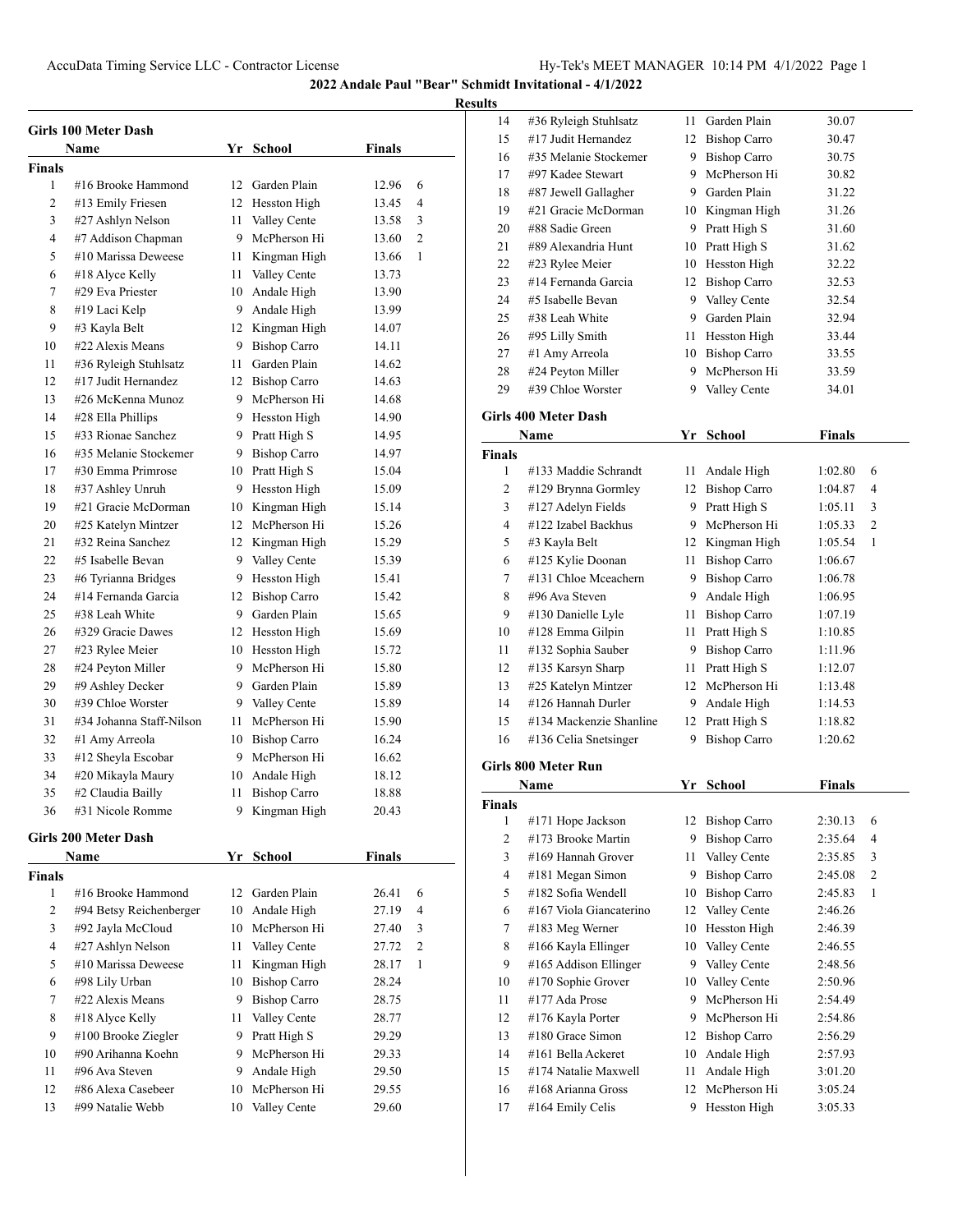|        | Girls 100 Meter Dash     |      |                     |               |                |
|--------|--------------------------|------|---------------------|---------------|----------------|
|        | Name                     |      | Yr School           | <b>Finals</b> |                |
| Finals |                          |      |                     |               |                |
| 1      | #16 Brooke Hammond       | 12   | Garden Plain        | 12.96         | 6              |
| 2      | #13 Emily Friesen        |      | 12 Hesston High     | 13.45         | 4              |
| 3      | #27 Ashlyn Nelson        | 11 - | Valley Cente        | 13.58         | 3              |
| 4      | #7 Addison Chapman       |      | 9 McPherson Hi      | 13.60         | $\overline{c}$ |
| 5      | #10 Marissa Deweese      |      | 11 Kingman High     | 13.66         | 1              |
| 6      | #18 Alyce Kelly          |      | 11 Valley Cente     | 13.73         |                |
| 7      | #29 Eva Priester         |      | 10 Andale High      | 13.90         |                |
| 8      | #19 Laci Kelp            |      | 9 Andale High       | 13.99         |                |
| 9      | #3 Kayla Belt            |      | 12 Kingman High     | 14.07         |                |
| 10     | #22 Alexis Means         |      | 9 Bishop Carro      | 14.11         |                |
| 11     | #36 Ryleigh Stuhlsatz    |      | 11 Garden Plain     | 14.62         |                |
| 12     | #17 Judit Hernandez      |      | 12 Bishop Carro     | 14.63         |                |
| 13     | #26 McKenna Munoz        |      | 9 McPherson Hi      | 14.68         |                |
| 14     | #28 Ella Phillips        |      | 9 Hesston High      | 14.90         |                |
| 15     | #33 Rionae Sanchez       |      | 9 Pratt High S      | 14.95         |                |
| 16     | #35 Melanie Stockemer    |      | 9 Bishop Carro      | 14.97         |                |
| 17     | #30 Emma Primrose        |      | 10 Pratt High S     | 15.04         |                |
| 18     | #37 Ashley Unruh         |      | 9 Hesston High      | 15.09         |                |
| 19     | #21 Gracie McDorman      |      | 10 Kingman High     | 15.14         |                |
| 20     | #25 Katelyn Mintzer      |      | 12 McPherson Hi     | 15.26         |                |
| 21     | #32 Reina Sanchez        |      | 12 Kingman High     | 15.29         |                |
| 22     | #5 Isabelle Bevan        |      | 9 Valley Cente      | 15.39         |                |
| 23     | #6 Tyrianna Bridges      |      | 9 Hesston High      | 15.41         |                |
| 24     | #14 Fernanda Garcia      | 12   | <b>Bishop Carro</b> | 15.42         |                |
| 25     | #38 Leah White           |      | 9 Garden Plain      | 15.65         |                |
| 26     | #329 Gracie Dawes        |      | 12 Hesston High     | 15.69         |                |
| 27     | #23 Rylee Meier          |      | 10 Hesston High     | 15.72         |                |
| 28     | #24 Peyton Miller        |      | 9 McPherson Hi      | 15.80         |                |
| 29     | #9 Ashley Decker         |      | 9 Garden Plain      | 15.89         |                |
| 30     | #39 Chloe Worster        |      | 9 Valley Cente      | 15.89         |                |
| 31     | #34 Johanna Staff-Nilson | 11 - | McPherson Hi        | 15.90         |                |
| 32     | #1 Amy Arreola           |      | 10 Bishop Carro     | 16.24         |                |
| 33     | #12 Sheyla Escobar       |      | 9 McPherson Hi      | 16.62         |                |
| 34     | #20 Mikayla Maury        |      | 10 Andale High      | 18.12         |                |
| 35     | #2 Claudia Bailly        |      | 11 Bishop Carro     | 18.88         |                |
| 36     | #31 Nicole Romme         |      | 9 Kingman High      | 20.43         |                |
|        | Girls 200 Meter Dash     |      |                     |               |                |
|        | Name                     | Yr   | School              | <b>Finals</b> |                |
| Finals |                          |      |                     |               |                |
| 1      | #16 Brooke Hammond       | 12   | Garden Plain        | 26.41         | 6              |
| 2      | #94 Betsy Reichenberger  | 10   | Andale High         | 27.19         | 4              |
| 3      | #92 Jayla McCloud        |      | 10 McPherson Hi     | 27.40         | 3              |
| 4      | #27 Ashlyn Nelson        | 11   | Valley Cente        | 27.72         | 2              |
| 5      | #10 Marissa Deweese      | 11   | Kingman High        | 28.17         | 1              |
| 6      | #98 Lily Urban           |      | 10 Bishop Carro     | 28.24         |                |
| 7      | #22 Alexis Means         | 9.   | <b>Bishop Carro</b> | 28.75         |                |
| 8      | #18 Alyce Kelly          | 11   | Valley Cente        | 28.77         |                |
| 9      | #100 Brooke Ziegler      | 9.   | Pratt High S        | 29.29         |                |
| 10     | #90 Arihanna Koehn       | 9    | McPherson Hi        | 29.33         |                |
| 11     | #96 Ava Steven           | 9.   | Andale High         | 29.50         |                |
| 12     | #86 Alexa Casebeer       | 10   | McPherson Hi        | 29.55         |                |
| 13     | #99 Natalie Webb         | 10   | Valley Cente        | 29.60         |                |
|        |                          |      |                     |               |                |

| 14             | #36 Ryleigh Stuhlsatz       | 11   | Garden Plain        | 30.07         |                |
|----------------|-----------------------------|------|---------------------|---------------|----------------|
| 15             | #17 Judit Hernandez         |      | 12 Bishop Carro     | 30.47         |                |
| 16             | #35 Melanie Stockemer       |      | 9 Bishop Carro      | 30.75         |                |
| 17             | #97 Kadee Stewart           |      | 9 McPherson Hi      | 30.82         |                |
| 18             | #87 Jewell Gallagher        |      | 9 Garden Plain      | 31.22         |                |
| 19             | #21 Gracie McDorman         |      | 10 Kingman High     | 31.26         |                |
| 20             | #88 Sadie Green             |      | 9 Pratt High S      | 31.60         |                |
| 21             | #89 Alexandria Hunt         |      | 10 Pratt High S     | 31.62         |                |
| 22             | #23 Rylee Meier             |      | 10 Hesston High     | 32.22         |                |
| 23             | #14 Fernanda Garcia         |      | 12 Bishop Carro     | 32.53         |                |
| 24             | #5 Isabelle Bevan           |      | 9 Valley Cente      | 32.54         |                |
| 25             | #38 Leah White              |      | 9 Garden Plain      | 32.94         |                |
| 26             | #95 Lilly Smith             | 11 - | Hesston High        | 33.44         |                |
| 27             | #1 Amy Arreola              |      | 10 Bishop Carro     | 33.55         |                |
| 28             | #24 Peyton Miller           |      | 9 McPherson Hi      | 33.59         |                |
| 29             | #39 Chloe Worster           |      | 9 Valley Cente      | 34.01         |                |
|                |                             |      |                     |               |                |
|                | <b>Girls 400 Meter Dash</b> |      |                     |               |                |
|                | Name                        | Yr   | <b>School</b>       | <b>Finals</b> |                |
| <b>Finals</b>  |                             |      |                     |               |                |
| 1              | #133 Maddie Schrandt        | 11 - | Andale High         | 1:02.80       | 6              |
| 2              | #129 Brynna Gormley         |      | 12 Bishop Carro     | 1:04.87       | 4              |
| 3              | #127 Adelyn Fields          |      | 9 Pratt High S      | 1:05.11       | 3              |
| $\overline{4}$ | #122 Izabel Backhus         |      | 9 McPherson Hi      | 1:05.33       | 2              |
| 5              | #3 Kayla Belt               | 12   | Kingman High        | 1:05.54       | 1              |
| 6              | #125 Kylie Doonan           | 11 - | <b>Bishop Carro</b> | 1:06.67       |                |
| 7              | #131 Chloe Mceachern        |      | 9 Bishop Carro      | 1:06.78       |                |
| 8              | #96 Ava Steven              |      | 9 Andale High       | 1:06.95       |                |
| 9              | #130 Danielle Lyle          |      | 11 Bishop Carro     | 1:07.19       |                |
| 10             | #128 Emma Gilpin            | 11 - | Pratt High S        | 1:10.85       |                |
| 11             | #132 Sophia Sauber          |      | 9 Bishop Carro      | 1:11.96       |                |
| 12             | #135 Karsyn Sharp           | 11 - | Pratt High S        | 1:12.07       |                |
| 13             | #25 Katelyn Mintzer         |      | 12 McPherson Hi     | 1:13.48       |                |
| 14             | #126 Hannah Durler          |      | 9 Andale High       | 1:14.53       |                |
| 15             | #134 Mackenzie Shanline     | 12   | Pratt High S        | 1:18.82       |                |
| 16             | #136 Celia Snetsinger       | 9    | <b>Bishop Carro</b> | 1:20.62       |                |
|                | <b>Girls 800 Meter Run</b>  |      |                     |               |                |
|                | Name                        | Yr   | <b>School</b>       | <b>Finals</b> |                |
| Finals         |                             |      |                     |               |                |
| 1              | #171 Hope Jackson           | 12   | <b>Bishop Carro</b> | 2:30.13       | 6              |
| $\mathbf{2}$   | #173 Brooke Martin          | 9.   | <b>Bishop Carro</b> | 2:35.64       | 4              |
| 3              | #169 Hannah Grover          | 11 - | Valley Cente        | 2:35.85       | 3              |
| 4              | #181 Megan Simon            |      | 9 Bishop Carro      | 2:45.08       | $\overline{c}$ |
| 5              | #182 Sofia Wendell          |      | 10 Bishop Carro     | 2:45.83       | 1              |
| 6              | #167 Viola Giancaterino     | 12   | Valley Cente        | 2:46.26       |                |
| 7              | #183 Meg Werner             | 10   | Hesston High        | 2:46.39       |                |
| 8              | #166 Kayla Ellinger         | 10   | Valley Cente        | 2:46.55       |                |
| 9              | #165 Addison Ellinger       | 9.   | Valley Cente        | 2:48.56       |                |
| 10             | #170 Sophie Grover          | 10   | Valley Cente        | 2:50.96       |                |
| 11             | #177 Ada Prose              | 9.   | McPherson Hi        | 2:54.49       |                |
| 12             | #176 Kayla Porter           | 9.   | McPherson Hi        | 2:54.86       |                |
| 13             | #180 Grace Simon            | 12   | <b>Bishop Carro</b> | 2:56.29       |                |
| 14             | #161 Bella Ackeret          | 10   | Andale High         | 2:57.93       |                |
| 15             | #174 Natalie Maxwell        | 11   | Andale High         | 3:01.20       |                |
| 16             | #168 Arianna Gross          | 12   | McPherson Hi        | 3:05.24       |                |
| 17             | #164 Emily Celis            | 9    | Hesston High        | 3:05.33       |                |
|                |                             |      |                     |               |                |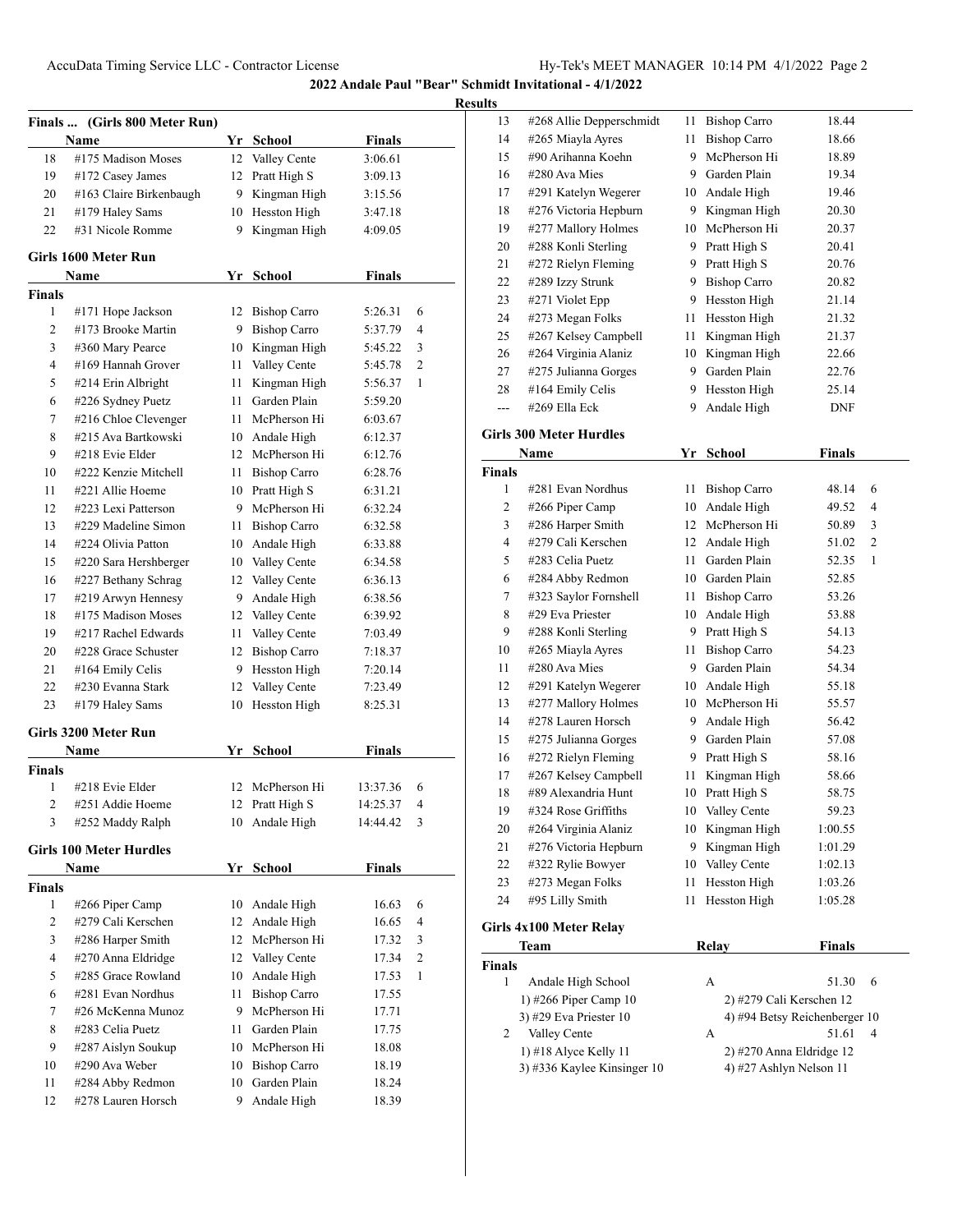| Finals        | (Girls 800 Meter Run)<br>Name  |    | Yr School           | Finals        |                |
|---------------|--------------------------------|----|---------------------|---------------|----------------|
| 18            | #175 Madison Moses             | 12 | Valley Cente        | 3:06.61       |                |
| 19            | #172 Casey James               | 12 | Pratt High S        | 3:09.13       |                |
| 20            | #163 Claire Birkenbaugh        | 9. | Kingman High        | 3:15.56       |                |
| 21            | #179 Haley Sams                | 10 | Hesston High        | 3:47.18       |                |
| 22            | #31 Nicole Romme               | 9  | Kingman High        | 4:09.05       |                |
|               | Girls 1600 Meter Run           |    |                     |               |                |
|               | <b>Name</b>                    | Yr | <b>School</b>       | <b>Finals</b> |                |
| <b>Finals</b> |                                |    |                     |               |                |
| 1             | #171 Hope Jackson              | 12 | <b>Bishop Carro</b> | 5:26.31       | 6              |
| 2             | #173 Brooke Martin             | 9  | <b>Bishop Carro</b> | 5:37.79       | 4              |
| 3             | #360 Mary Pearce               | 10 | Kingman High        | 5:45.22       | 3              |
| 4             | #169 Hannah Grover             | 11 | Valley Cente        | 5:45.78       | $\overline{c}$ |
| 5             | #214 Erin Albright             | 11 | Kingman High        | 5:56.37       | 1              |
| 6             | #226 Sydney Puetz              | 11 | Garden Plain        | 5:59.20       |                |
| 7             | #216 Chloe Clevenger           | 11 | McPherson Hi        | 6:03.67       |                |
| 8             | #215 Ava Bartkowski            |    | 10 Andale High      | 6:12.37       |                |
| 9             | #218 Evie Elder                |    | 12 McPherson Hi     | 6:12.76       |                |
| 10            | #222 Kenzie Mitchell           | 11 | <b>Bishop Carro</b> | 6:28.76       |                |
| 11            | #221 Allie Hoeme               |    | 10 Pratt High S     | 6:31.21       |                |
| 12            | #223 Lexi Patterson            |    | 9 McPherson Hi      | 6:32.24       |                |
| 13            | #229 Madeline Simon            | 11 | <b>Bishop Carro</b> | 6:32.58       |                |
| 14            | #224 Olivia Patton             |    | 10 Andale High      | 6:33.88       |                |
| 15            | #220 Sara Hershberger          |    | 10 Valley Cente     | 6:34.58       |                |
| 16            | #227 Bethany Schrag            | 12 | Valley Cente        | 6:36.13       |                |
| 17            | #219 Arwyn Hennesy             | 9. | Andale High         | 6:38.56       |                |
| 18            | #175 Madison Moses             | 12 | Valley Cente        | 6:39.92       |                |
| 19            | #217 Rachel Edwards            | 11 | Valley Cente        | 7:03.49       |                |
| 20            | #228 Grace Schuster            | 12 | <b>Bishop Carro</b> | 7:18.37       |                |
| 21            | #164 Emily Celis               | 9. | Hesston High        | 7:20.14       |                |
| 22            | #230 Evanna Stark              | 12 | Valley Cente        | 7:23.49       |                |
| 23            | #179 Haley Sams                | 10 | Hesston High        | 8:25.31       |                |
|               | Girls 3200 Meter Run           |    |                     |               |                |
|               | Name                           |    | Yr School           | <b>Finals</b> |                |
| <b>Finals</b> |                                |    |                     |               |                |
| 1             | #218 Evie Elder                | 12 | McPherson Hi        | 13:37.36      | 6              |
| 2             | #251 Addie Hoeme               | 12 | Pratt High S        | 14:25.37      | 4              |
| 3             | #252 Maddy Ralph               | 10 | Andale High         | 14:44.42      | 3              |
|               | <b>Girls 100 Meter Hurdles</b> |    |                     |               |                |
|               | Name                           | Yr | School              | <b>Finals</b> |                |
| Finals        |                                |    |                     |               |                |
|               |                                | 10 | Andale High         | 16.63         | 6              |
| 1             | #266 Piper Camp                |    |                     |               |                |
| 2             | #279 Cali Kerschen             | 12 | Andale High         | 16.65         | 4              |
| 3             | #286 Harper Smith              | 12 | McPherson Hi        | 17.32         | 3              |
| 4             | #270 Anna Eldridge             | 12 | Valley Cente        | 17.34         | 2              |
| 5             | #285 Grace Rowland             | 10 | Andale High         | 17.53         | 1              |
| 6             | #281 Evan Nordhus              | 11 | <b>Bishop Carro</b> | 17.55         |                |
| 7             | #26 McKenna Munoz              | 9. | McPherson Hi        | 17.71         |                |
| 8             | #283 Celia Puetz               | 11 | Garden Plain        | 17.75         |                |
| 9             | #287 Aislyn Soukup             |    | 10 McPherson Hi     | 18.08         |                |
| 10            | #290 Ava Weber                 | 10 | <b>Bishop Carro</b> | 18.19         |                |
| 11            | #284 Abby Redmon               | 10 | Garden Plain        | 18.24         |                |

| uns           |                                |    |                     |               |                |
|---------------|--------------------------------|----|---------------------|---------------|----------------|
| 13            | #268 Allie Depperschmidt       | 11 | <b>Bishop Carro</b> | 18.44         |                |
| 14            | #265 Miayla Ayres              | 11 | <b>Bishop Carro</b> | 18.66         |                |
| 15            | #90 Arihanna Koehn             | 9  | McPherson Hi        | 18.89         |                |
| 16            | #280 Ava Mies                  |    | 9 Garden Plain      | 19.34         |                |
| 17            | #291 Katelyn Wegerer           |    | 10 Andale High      | 19.46         |                |
| 18            | #276 Victoria Hepburn          |    | 9 Kingman High      | 20.30         |                |
| 19            | #277 Mallory Holmes            |    | 10 McPherson Hi     | 20.37         |                |
| 20            | #288 Konli Sterling            |    | 9 Pratt High S      | 20.41         |                |
| 21            | #272 Rielyn Fleming            |    | 9 Pratt High S      | 20.76         |                |
| 22            | #289 Izzy Strunk               |    | 9 Bishop Carro      | 20.82         |                |
| 23            | #271 Violet Epp                |    | 9 Hesston High      | 21.14         |                |
| 24            | #273 Megan Folks               | 11 | Hesston High        | 21.32         |                |
| 25            | #267 Kelsey Campbell           | 11 | Kingman High        | 21.37         |                |
| 26            | #264 Virginia Alaniz           |    | 10 Kingman High     | 22.66         |                |
| 27            | #275 Julianna Gorges           |    | 9 Garden Plain      | 22.76         |                |
| 28            | #164 Emily Celis               | 9  | Hesston High        | 25.14         |                |
| ---           | #269 Ella Eck                  | 9  | Andale High         | DNF           |                |
|               | <b>Girls 300 Meter Hurdles</b> |    |                     |               |                |
|               | Name                           | Yr | <b>School</b>       | <b>Finals</b> |                |
| <b>Finals</b> |                                |    |                     |               |                |
| 1             | #281 Evan Nordhus              |    | 11 Bishop Carro     | 48.14         | 6              |
| 2             | #266 Piper Camp                |    | 10 Andale High      | 49.52         | 4              |
| 3             | #286 Harper Smith              |    | 12 McPherson Hi     | 50.89         | 3              |
| 4             | #279 Cali Kerschen             |    | 12 Andale High      | 51.02         | $\overline{c}$ |
| 5             | #283 Celia Puetz               |    | 11 Garden Plain     | 52.35         | 1              |
| 6             | #284 Abby Redmon               |    | 10 Garden Plain     | 52.85         |                |
| 7             | #323 Saylor Fornshell          |    | 11 Bishop Carro     | 53.26         |                |
| 8             | #29 Eva Priester               |    | 10 Andale High      | 53.88         |                |
| 9             | #288 Konli Sterling            |    | 9 Pratt High S      | 54.13         |                |
| 10            | #265 Miayla Ayres              |    | 11 Bishop Carro     | 54.23         |                |
| 11            | #280 Ava Mies                  |    | 9 Garden Plain      | 54.34         |                |
| 12            | #291 Katelyn Wegerer           |    | 10 Andale High      | 55.18         |                |
| 13            | #277 Mallory Holmes            |    | 10 McPherson Hi     | 55.57         |                |
| 14            | #278 Lauren Horsch             |    | 9 Andale High       | 56.42         |                |
| 15            | #275 Julianna Gorges           |    | 9 Garden Plain      | 57.08         |                |
| 16            | #272 Rielyn Fleming            |    | 9 Pratt High S      | 58.16         |                |
| 17            | #267 Kelsey Campbell           | 11 | Kingman High        | 58.66         |                |
| 18            | #89 Alexandria Hunt            | 10 | Pratt High S        | 58.75         |                |
| 19            | #324 Rose Griffiths            | 10 | Valley Cente        | 59.23         |                |
| 20            | #264 Virginia Alaniz           | 10 | Kingman High        | 1:00.55       |                |
| 21            | #276 Victoria Hepburn          | 9  | Kingman High        | 1:01.29       |                |
| 22            | #322 Rylie Bowyer              | 10 | Valley Cente        | 1:02.13       |                |
| 23            | #273 Megan Folks               | 11 | Hesston High        | 1:03.26       |                |
| 24            | #95 Lilly Smith                | 11 | Hesston High        | 1:05.28       |                |
|               | Girls 4x100 Meter Relay        |    |                     |               |                |

| Team          |                             | Relav | <b>Finals</b>                 |  |
|---------------|-----------------------------|-------|-------------------------------|--|
| <b>Finals</b> |                             |       |                               |  |
|               | Andale High School          | А     | 51.30<br>6                    |  |
|               | 1) #266 Piper Camp $10$     |       | $2)$ #279 Cali Kerschen 12    |  |
|               | 3) #29 Eva Priester 10      |       | 4) #94 Betsy Reichenberger 10 |  |
|               | Valley Cente                | А     | 51.61<br>$\overline{4}$       |  |
|               | 1) $\#18$ Alyce Kelly 11    |       | $2)$ #270 Anna Eldridge 12    |  |
|               | 3) #336 Kaylee Kinsinger 10 |       | 4) #27 Ashlyn Nelson 11       |  |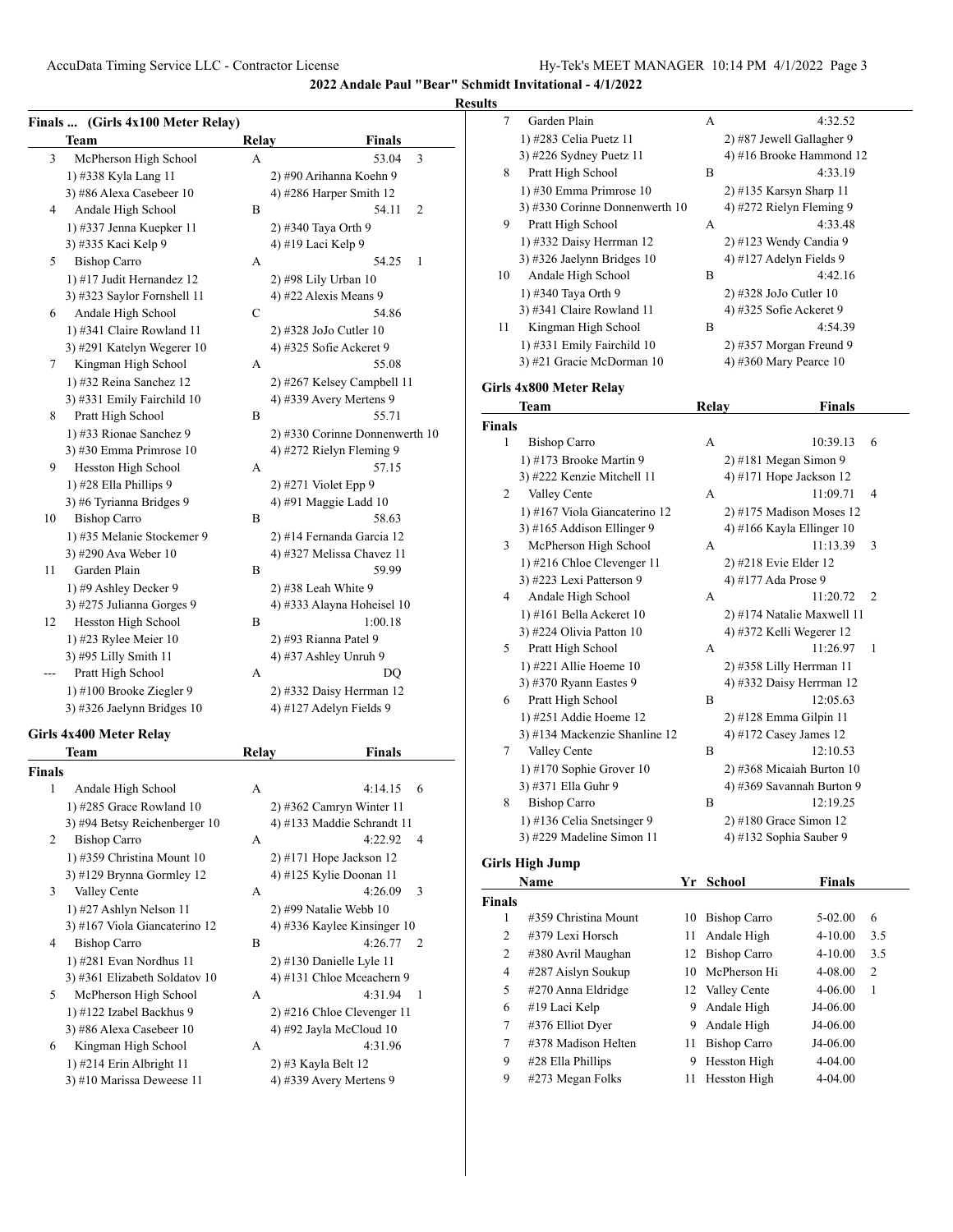## **Results**

|        | Finals  (Girls 4x100 Meter Relay) |              |                                |
|--------|-----------------------------------|--------------|--------------------------------|
|        | Team                              | <b>Relay</b> | Finals                         |
| 3      | McPherson High School             | A            | 53.04<br>3                     |
|        | 1) #338 Kyla Lang 11              |              | 2) #90 Arihanna Koehn 9        |
|        | 3) #86 Alexa Casebeer 10          |              | 4) #286 Harper Smith $12$      |
| 4      | Andale High School                | B            | 54.11<br>2                     |
|        | 1) #337 Jenna Kuepker 11          |              | 2) #340 Taya Orth 9            |
|        | 3) #335 Kaci Kelp 9               |              | 4) #19 Laci Kelp 9             |
| 5      | <b>Bishop Carro</b>               | A            | 54.25<br>1                     |
|        | 1) #17 Judit Hernandez 12         |              | 2) #98 Lily Urban 10           |
|        | 3) #323 Saylor Fornshell 11       |              | 4) #22 Alexis Means 9          |
| 6      | Andale High School                | С            | 54.86                          |
|        | 1) #341 Claire Rowland 11         |              | 2) #328 JoJo Cutler 10         |
|        | 3) #291 Katelyn Wegerer 10        |              | 4) #325 Sofie Ackeret 9        |
| 7      | Kingman High School               | A            | 55.08                          |
|        | 1) #32 Reina Sanchez 12           |              | 2) #267 Kelsey Campbell 11     |
|        | 3) #331 Emily Fairchild 10        |              | 4) #339 Avery Mertens 9        |
| 8      | Pratt High School                 | B            | 55.71                          |
|        | 1) #33 Rionae Sanchez 9           |              | 2) #330 Corinne Donnenwerth 10 |
|        | 3) #30 Emma Primrose $10$         |              | 4) #272 Rielyn Fleming 9       |
| 9      | Hesston High School               | А            | 57.15                          |
|        | 1) #28 Ella Phillips 9            |              | 2) #271 Violet Epp 9           |
|        | 3) #6 Tyrianna Bridges 9          |              | 4) #91 Maggie Ladd 10          |
| 10     | <b>Bishop Carro</b>               | В            | 58.63                          |
|        | 1) #35 Melanie Stockemer 9        |              | 2) #14 Fernanda Garcia 12      |
|        | 3) #290 Ava Weber 10              |              | 4) #327 Melissa Chavez 11      |
| 11     | Garden Plain                      | В            | 59.99                          |
|        | 1) #9 Ashley Decker 9             |              | 2) #38 Leah White 9            |
|        | 3) #275 Julianna Gorges 9         |              | 4) #333 Alayna Hoheisel 10     |
| 12     | Hesston High School               | B            | 1:00.18                        |
|        | 1) #23 Rylee Meier 10             |              | 2) #93 Rianna Patel 9          |
|        | 3) #95 Lilly Smith 11             |              | 4) #37 Ashley Unruh 9          |
|        | Pratt High School                 | A            | DQ                             |
|        | 1) #100 Brooke Ziegler 9          |              | 2) #332 Daisy Herrman 12       |
|        | 3) #326 Jaelynn Bridges 10        |              | 4) #127 Adelyn Fields 9        |
|        | Girls 4x400 Meter Relay           |              |                                |
|        | Team                              | Relay        | <b>Finals</b>                  |
| Finals |                                   |              |                                |
| 1      | Andale High School                | А            | 4:14.15<br>6                   |
|        | 1) #285 Grace Rowland 10          |              | $2)$ #362 Camryn Winter 11     |

|                | <i>r</i> means ringin benoon  |   |                              |    |
|----------------|-------------------------------|---|------------------------------|----|
|                | 1) $\#285$ Grace Rowland 10   |   | $2)$ #362 Camryn Winter 11   |    |
|                | 3) #94 Betsy Reichenberger 10 |   | 4) #133 Maddie Schrandt 11   |    |
| $\mathfrak{D}$ | <b>Bishop Carro</b>           | A | 4:22.92                      | 4  |
|                | 1) #359 Christina Mount 10    |   | $2)$ #171 Hope Jackson 12    |    |
|                | 3) #129 Brynna Gormley 12     |   | 4) #125 Kylie Doonan 11      |    |
| 3              | Valley Cente                  | A | 4:26.09                      | 3  |
|                | 1) #27 Ashlyn Nelson 11       |   | $2)$ #99 Natalie Webb 10     |    |
|                | 3) #167 Viola Giancaterino 12 |   | 4) #336 Kaylee Kinsinger 10  |    |
| 4              | <b>Bishop Carro</b>           | B | 4:26.77                      | 2  |
|                | 1) #281 Evan Nordhus 11       |   | $2)$ #130 Danielle Lyle 11   |    |
|                | 3) #361 Elizabeth Soldatov 10 |   | 4) #131 Chloe Mceachern 9    |    |
| 5              | McPherson High School         | A | 4:31.94                      | -1 |
|                | 1) #122 Izabel Backhus 9      |   | $2)$ #216 Chloe Clevenger 11 |    |
|                | 3) #86 Alexa Casebeer 10      |   | 4) #92 Jayla McCloud $10$    |    |
| 6              | Kingman High School           | A | 4:31.96                      |    |
|                | $1)$ #214 Erin Albright 11    |   | 2) #3 Kayla Belt 12          |    |
|                | 3) #10 Marissa Deweese 11     |   | 4) #339 Avery Mertens 9      |    |
|                |                               |   |                              |    |
|                |                               |   |                              |    |

| 7             | Garden Plain                   | А     | 4:32.52                    |  |
|---------------|--------------------------------|-------|----------------------------|--|
|               | 1) #283 Celia Puetz 11         |       | 2) #87 Jewell Gallagher 9  |  |
|               | 3) #226 Sydney Puetz 11        |       | 4) #16 Brooke Hammond 12   |  |
| 8             | Pratt High School              | B     | 4:33.19                    |  |
|               | 1) #30 Emma Primrose 10        |       | 2) #135 Karsyn Sharp 11    |  |
|               | 3) #330 Corinne Donnenwerth 10 |       | 4) #272 Rielyn Fleming 9   |  |
| 9             | Pratt High School              | А     | 4:33.48                    |  |
|               | 1) #332 Daisy Herrman 12       |       | 2) #123 Wendy Candia 9     |  |
|               | 3) #326 Jaelynn Bridges 10     |       | 4) #127 Adelyn Fields 9    |  |
| 10            | Andale High School             | B     | 4:42.16                    |  |
|               | 1) #340 Taya Orth 9            |       | 2) #328 JoJo Cutler 10     |  |
|               | 3) #341 Claire Rowland 11      |       | 4) #325 Sofie Ackeret 9    |  |
| 11            | Kingman High School            | B     | 4:54.39                    |  |
|               | 1) #331 Emily Fairchild 10     |       | 2) #357 Morgan Freund 9    |  |
|               | 3) #21 Gracie McDorman 10      |       | 4) #360 Mary Pearce 10     |  |
|               | Girls 4x800 Meter Relay        |       |                            |  |
|               | Team                           | Relay | <b>Finals</b>              |  |
| <b>Finals</b> |                                |       |                            |  |
| 1             | <b>Bishop Carro</b>            | А     | 6<br>10:39.13              |  |
|               | 1) #173 Brooke Martin 9        |       | 2) #181 Megan Simon 9      |  |
|               | 3) #222 Kenzie Mitchell 11     |       | 4) #171 Hope Jackson 12    |  |
| 2             | Valley Cente                   | A     | 11:09.71<br>4              |  |
|               | 1) #167 Viola Giancaterino 12  |       | $2)$ #175 Madison Moses 12 |  |
|               | 3) #165 Addison Ellinger 9     |       | 4) #166 Kayla Ellinger 10  |  |
| 3             | McPherson High School          | А     | 11:13.39<br>3              |  |
|               | 1) #216 Chloe Clevenger 11     |       | 2) #218 Evie Elder 12      |  |
|               | 3) #223 Lexi Patterson 9       |       | 4) #177 Ada Prose 9        |  |
| 4             | Andale High School             | A     | 11:20.72<br>$\overline{c}$ |  |
|               | 1) #161 Bella Ackeret 10       |       | 2) #174 Natalie Maxwell 11 |  |
|               | 3) #224 Olivia Patton 10       |       | 4) #372 Kelli Wegerer 12   |  |
| 5             | Pratt High School              | А     | 11:26.97<br>1              |  |
|               | 1) #221 Allie Hoeme $10$       |       | 2) #358 Lilly Herrman 11   |  |
|               | 3) #370 Ryann Eastes 9         |       | 4) #332 Daisy Herrman 12   |  |
| 6             | Pratt High School              | B     | 12:05.63                   |  |
|               | 1) #251 Addie Hoeme 12         |       | $2)$ #128 Emma Gilpin 11   |  |
|               | 3) #134 Mackenzie Shanline 12  |       | 4) #172 Casey James 12     |  |
| 7             | Valley Cente                   | B     | 12:10.53                   |  |
|               | 1) #170 Sophie Grover 10       |       | 2) #368 Micaiah Burton 10  |  |
|               | 3) #371 Ella Guhr 9            |       | 4) #369 Savannah Burton 9  |  |
| 8             | <b>Bishop Carro</b>            | B     | 12:19.25                   |  |
|               | 1) #136 Celia Snetsinger 9     |       | 2) #180 Grace Simon 12     |  |
|               | 3) #229 Madeline Simon 11      |       | 4) #132 Sophia Sauber 9    |  |
|               |                                |       |                            |  |

# **Girls High Jump**

| Name          |                      | Yг | <b>School</b>       | <b>Finals</b> |                |
|---------------|----------------------|----|---------------------|---------------|----------------|
| <b>Finals</b> |                      |    |                     |               |                |
| 1             | #359 Christina Mount | 10 | <b>Bishop Carro</b> | $5-02.00$     | 6              |
| 2             | #379 Lexi Horsch     | 11 | Andale High         | $4 - 10.00$   | 3.5            |
| 2             | #380 Avril Maughan   | 12 | <b>Bishop Carro</b> | $4 - 10.00$   | 3.5            |
| 4             | #287 Aislyn Soukup   | 10 | McPherson Hi        | 4-08.00       | $\overline{c}$ |
| 5             | #270 Anna Eldridge   |    | 12 Valley Cente     | $4 - 06.00$   | 1              |
| 6             | #19 Laci Kelp        | 9  | Andale High         | J4-06.00      |                |
| 7             | #376 Elliot Dyer     | 9  | Andale High         | J4-06.00      |                |
| 7             | #378 Madison Helten  | 11 | <b>Bishop Carro</b> | J4-06.00      |                |
| 9             | #28 Ella Phillips    | 9  | Hesston High        | $4 - 04.00$   |                |
| 9             | #273 Megan Folks     | п  | Hesston High        | $4 - 04.00$   |                |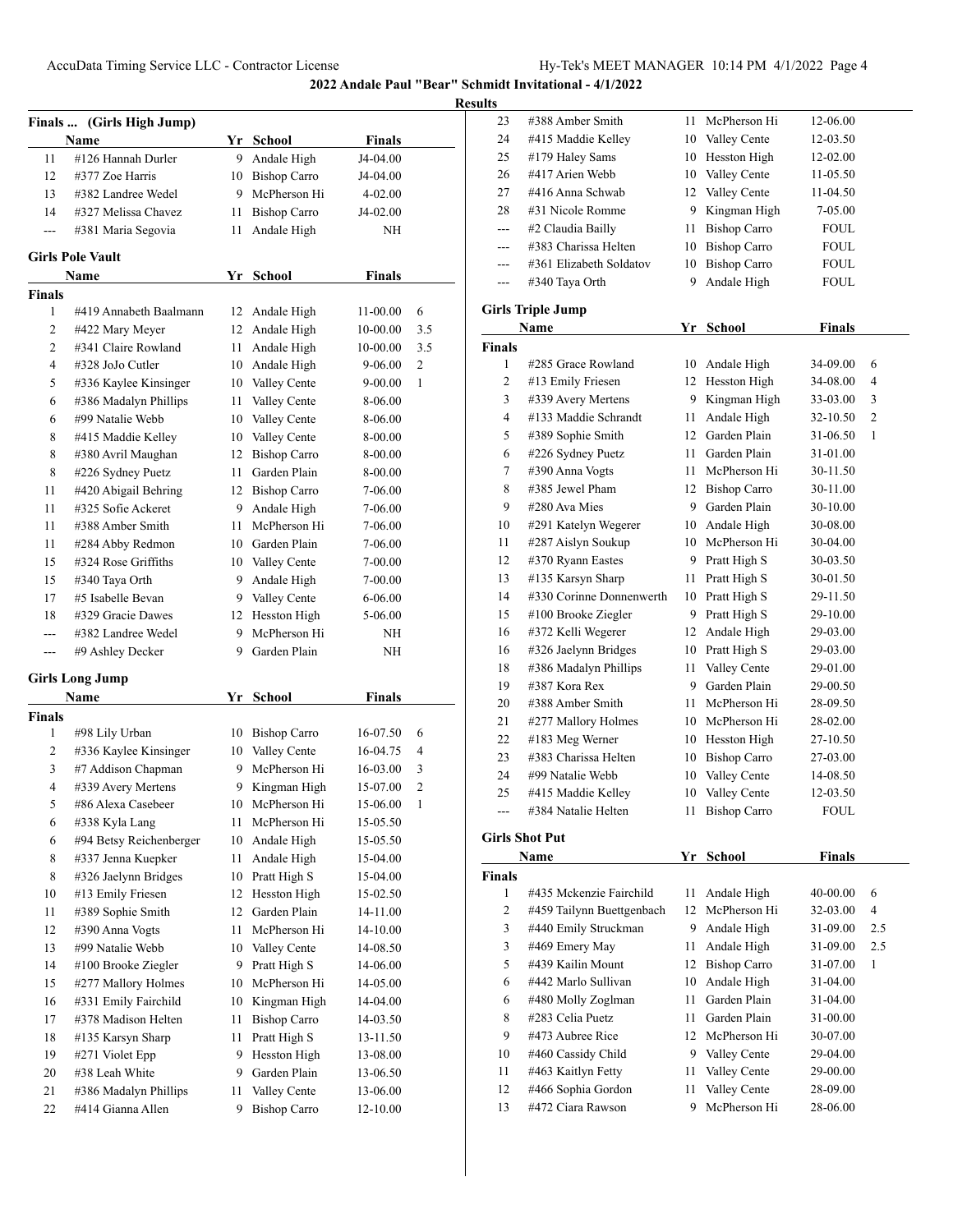| <b>Finals</b>  | (Girls High Jump)       |    |                     |               |                |
|----------------|-------------------------|----|---------------------|---------------|----------------|
|                | Name                    |    | Yr School           | Finals        |                |
| 11             | #126 Hannah Durler      | 9  | Andale High         | J4-04.00      |                |
| 12             | #377 Zoe Harris         |    | 10 Bishop Carro     | J4-04.00      |                |
| 13             | #382 Landree Wedel      |    | 9 McPherson Hi      | 4-02.00       |                |
| 14             | #327 Melissa Chavez     | 11 | <b>Bishop Carro</b> | J4-02.00      |                |
| $\overline{a}$ | #381 Maria Segovia      | 11 | Andale High         | ΝH            |                |
|                | <b>Girls Pole Vault</b> |    |                     |               |                |
|                | Name                    | Yr | <b>School</b>       | <b>Finals</b> |                |
| <b>Finals</b>  |                         |    |                     |               |                |
| 1              | #419 Annabeth Baalmann  | 12 | Andale High         | 11-00.00      | 6              |
| 2              | #422 Mary Meyer         |    | 12 Andale High      | 10-00.00      | 3.5            |
| $\overline{c}$ | #341 Claire Rowland     | 11 | Andale High         | 10-00.00      | 3.5            |
| 4              | #328 JoJo Cutler        |    | 10 Andale High      | $9 - 06.00$   | $\overline{c}$ |
| 5              | #336 Kaylee Kinsinger   |    | 10 Valley Cente     | $9 - 00.00$   | 1              |
| 6              | #386 Madalyn Phillips   | 11 | Valley Cente        | 8-06.00       |                |
| 6              | #99 Natalie Webb        | 10 | Valley Cente        | 8-06.00       |                |
| 8              | #415 Maddie Kelley      |    | 10 Valley Cente     | 8-00.00       |                |
| 8              | #380 Avril Maughan      |    | 12 Bishop Carro     | 8-00.00       |                |
| 8              | #226 Sydney Puetz       | 11 | Garden Plain        | 8-00.00       |                |
| 11             | #420 Abigail Behring    |    | 12 Bishop Carro     | 7-06.00       |                |
| 11             | #325 Sofie Ackeret      | 9. | Andale High         | 7-06.00       |                |
| 11             | #388 Amber Smith        | 11 | McPherson Hi        | 7-06.00       |                |
| 11             | #284 Abby Redmon        |    | 10 Garden Plain     | 7-06.00       |                |
| 15             | #324 Rose Griffiths     |    | 10 Valley Cente     | 7-00.00       |                |
| 15             | #340 Taya Orth          | 9. | Andale High         | 7-00.00       |                |
| 17             | #5 Isabelle Bevan       |    | 9 Valley Cente      | 6-06.00       |                |
| 18             | #329 Gracie Dawes       |    | 12 Hesston High     | 5-06.00       |                |
| ---            | #382 Landree Wedel      | 9. | McPherson Hi        | ΝH            |                |
| ---            | #9 Ashley Decker        | 9  | Garden Plain        | ΝH            |                |
|                |                         |    |                     |               |                |
|                | Girls Long Jump         |    |                     |               |                |
|                | Name                    |    | Yr School           | <b>Finals</b> |                |
| <b>Finals</b>  |                         |    |                     |               |                |
| 1              | #98 Lily Urban          |    | 10 Bishop Carro     | 16-07.50      | 6              |
| 2              | #336 Kaylee Kinsinger   | 10 | Valley Cente        | 16-04.75      | 4              |
| 3              | #7 Addison Chapman      | 9  | McPherson Hi        | 16-03.00      | 3              |
| 4              | #339 Avery Mertens      | 9  | Kingman High        | 15-07.00      | 2              |
| 5              | #86 Alexa Casebeer      | 10 | McPherson Hi        | 15-06.00      | 1              |
| 6              | #338 Kyla Lang          | 11 | McPherson Hi        | 15-05.50      |                |
| 6              | #94 Betsy Reichenberger | 10 | Andale High         | 15-05.50      |                |
| 8              | #337 Jenna Kuepker      | 11 | Andale High         | 15-04.00      |                |
| 8              | #326 Jaelynn Bridges    | 10 | Pratt High S        | 15-04.00      |                |
| 10             | #13 Emily Friesen       | 12 | Hesston High        | 15-02.50      |                |
| 11             | #389 Sophie Smith       | 12 | Garden Plain        | 14-11.00      |                |
| 12             | #390 Anna Vogts         | 11 | McPherson Hi        | 14-10.00      |                |
| 13             | #99 Natalie Webb        | 10 | Valley Cente        | 14-08.50      |                |
| 14             | #100 Brooke Ziegler     | 9  | Pratt High S        | 14-06.00      |                |
| 15             | #277 Mallory Holmes     | 10 | McPherson Hi        | 14-05.00      |                |
| 16             | #331 Emily Fairchild    | 10 | Kingman High        | 14-04.00      |                |
| 17             | #378 Madison Helten     | 11 | <b>Bishop Carro</b> | 14-03.50      |                |
| 18             | #135 Karsyn Sharp       | 11 | Pratt High S        | 13-11.50      |                |
| 19             | #271 Violet Epp         | 9  | Hesston High        | 13-08.00      |                |
| 20             | #38 Leah White          | 9  | Garden Plain        | 13-06.50      |                |
| 21             | #386 Madalyn Phillips   | 11 | Valley Cente        | 13-06.00      |                |
| 22             | #414 Gianna Allen       | 9  | <b>Bishop Carro</b> | 12-10.00      |                |
|                |                         |    |                     |               |                |

| ицэ                           |                                         |          |                              |                      |     |
|-------------------------------|-----------------------------------------|----------|------------------------------|----------------------|-----|
| 23                            | #388 Amber Smith                        | 11       | McPherson Hi                 | 12-06.00             |     |
| 24                            | #415 Maddie Kelley                      | 10       | Valley Cente                 | 12-03.50             |     |
| 25                            | #179 Haley Sams                         | 10       | Hesston High                 | 12-02.00             |     |
| 26                            | #417 Arien Webb                         | 10       | Valley Cente                 | 11-05.50             |     |
| 27                            | #416 Anna Schwab                        |          | 12 Valley Cente              | 11-04.50             |     |
| 28                            | #31 Nicole Romme                        | 9.       | Kingman High                 | 7-05.00              |     |
| $---$                         | #2 Claudia Bailly                       | 11       | <b>Bishop Carro</b>          | FOUL                 |     |
| ---                           | #383 Charissa Helten                    | 10       | <b>Bishop Carro</b>          | FOUL                 |     |
| ---                           | #361 Elizabeth Soldatov                 | 10       | <b>Bishop Carro</b>          | FOUL                 |     |
| $---$                         | #340 Taya Orth                          | 9        | Andale High                  | <b>FOUL</b>          |     |
|                               |                                         |          |                              |                      |     |
|                               | <b>Girls Triple Jump</b>                |          |                              |                      |     |
|                               | Name                                    | Yr       | School                       | <b>Finals</b>        |     |
| <b>Finals</b>                 |                                         |          |                              |                      |     |
| 1                             | #285 Grace Rowland                      | 10       | Andale High                  | 34-09.00             | 6   |
| 2                             | #13 Emily Friesen                       | 12       | Hesston High                 | 34-08.00             | 4   |
| 3                             | #339 Avery Mertens                      |          | 9 Kingman High               | 33-03.00             | 3   |
| 4                             | #133 Maddie Schrandt                    | 11       | Andale High                  | 32-10.50             | 2   |
| 5                             | #389 Sophie Smith                       | 12       | Garden Plain                 | 31-06.50             | 1   |
| 6                             | #226 Sydney Puetz                       | 11 -     | Garden Plain                 | 31-01.00             |     |
| 7                             | #390 Anna Vogts                         | 11 -     | McPherson Hi                 | 30-11.50             |     |
| 8                             | #385 Jewel Pham                         |          | 12 Bishop Carro              | 30-11.00             |     |
| 9                             | #280 Ava Mies                           |          | 9 Garden Plain               | 30-10.00             |     |
| 10                            | #291 Katelyn Wegerer                    |          | 10 Andale High               | 30-08.00             |     |
| 11                            | #287 Aislyn Soukup                      |          | 10 McPherson Hi              | 30-04.00             |     |
| 12                            | #370 Ryann Eastes                       |          | 9 Pratt High S               | 30-03.50             |     |
| 13                            | #135 Karsyn Sharp                       | 11       | Pratt High S                 | 30-01.50             |     |
| 14                            | #330 Corinne Donnenwerth                |          | 10 Pratt High S              | 29-11.50             |     |
| 15                            | #100 Brooke Ziegler                     |          | 9 Pratt High S               | 29-10.00             |     |
| 16                            | #372 Kelli Wegerer                      | 12       | Andale High                  | 29-03.00             |     |
| 16                            | #326 Jaelynn Bridges                    |          | 10 Pratt High S              | 29-03.00             |     |
| 18                            | #386 Madalyn Phillips                   | 11 -     | Valley Cente                 | 29-01.00             |     |
| 19                            | #387 Kora Rex                           |          | 9 Garden Plain               | 29-00.50             |     |
| 20                            | #388 Amber Smith                        | 11-      | McPherson Hi                 | 28-09.50             |     |
| 21                            | #277 Mallory Holmes                     |          | 10 McPherson Hi              | 28-02.00             |     |
| 22                            | #183 Meg Werner                         |          | 10 Hesston High              | 27-10.50             |     |
| 23                            | #383 Charissa Helten                    |          | 10 Bishop Carro              | 27-03.00             |     |
| 24                            | #99 Natalie Webb                        | 10       | Valley Cente                 | 14-08.50             |     |
| 25                            | #415 Maddie Kelley                      | 10       | Valley Cente                 | 12-03.50             |     |
|                               | #384 Natalie Helten                     | 11       | <b>Bishop Carro</b>          | <b>FOUL</b>          |     |
|                               | <b>Girls Shot Put</b>                   |          |                              |                      |     |
|                               | Name                                    | Yr       | <b>School</b>                |                      |     |
|                               |                                         |          |                              | <b>Finals</b>        |     |
| <b>Finals</b><br>$\mathbf{1}$ | #435 Mckenzie Fairchild                 | 11       | Andale High                  | 40-00.00             | 6   |
| 2                             | #459 Tailynn Buettgenbach               | 12       | McPherson Hi                 | 32-03.00             | 4   |
| 3                             | #440 Emily Struckman                    | 9.       | Andale High                  | 31-09.00             | 2.5 |
| 3                             | #469 Emery May                          | 11       | Andale High                  | 31-09.00             | 2.5 |
| 5                             | #439 Kailin Mount                       | 12       | <b>Bishop Carro</b>          | 31-07.00             | 1   |
| 6                             | #442 Marlo Sullivan                     |          |                              |                      |     |
| 6                             | #480 Molly Zoglman                      | 10<br>11 | Andale High<br>Garden Plain  | 31-04.00<br>31-04.00 |     |
| 8                             | #283 Celia Puetz                        |          | Garden Plain                 |                      |     |
| 9                             | #473 Aubree Rice                        | 11<br>12 | McPherson Hi                 | 31-00.00             |     |
|                               | #460 Cassidy Child                      |          | Valley Cente                 | 30-07.00             |     |
| 10<br>11                      |                                         | 9.       |                              | 29-04.00             |     |
|                               | #463 Kaitlyn Fetty                      | 11       | Valley Cente<br>Valley Cente | 29-00.00             |     |
| 12                            | #466 Sophia Gordon<br>#472 Ciara Rawson | 11<br>9  | McPherson Hi                 | 28-09.00             |     |
| 13                            |                                         |          |                              | 28-06.00             |     |
|                               |                                         |          |                              |                      |     |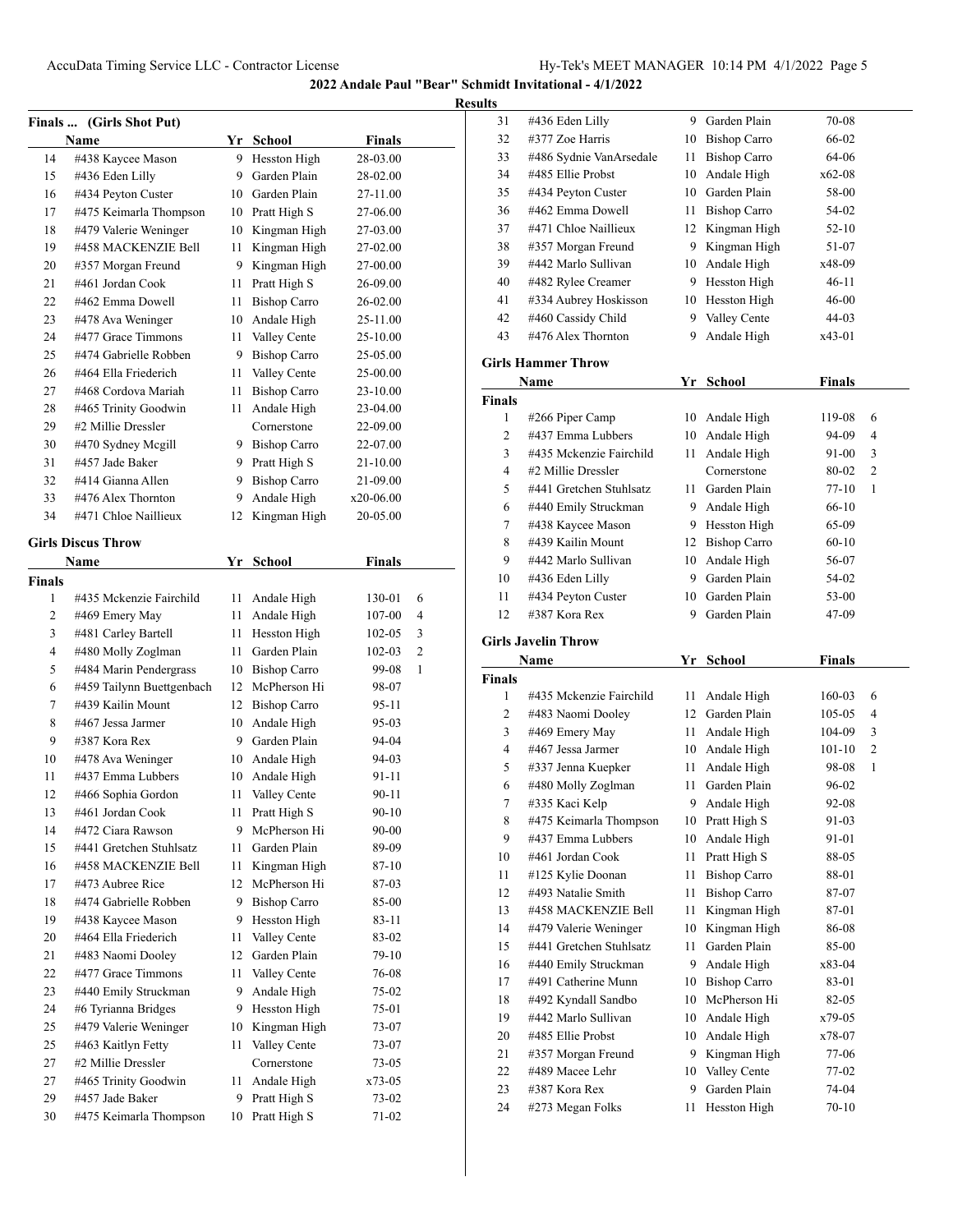| <b>Finals</b> | (Girls Shot Put)                             |         |                              |                    |                |
|---------------|----------------------------------------------|---------|------------------------------|--------------------|----------------|
|               | Name                                         |         | Yr School                    | <b>Finals</b>      |                |
| 14            | #438 Kaycee Mason                            | 9.      | Hesston High                 | 28-03.00           |                |
| 15            | #436 Eden Lilly                              | 9       | Garden Plain                 | 28-02.00           |                |
| 16            | #434 Peyton Custer                           |         | 10 Garden Plain              | 27-11.00           |                |
| 17            | #475 Keimarla Thompson                       |         | 10 Pratt High S              | 27-06.00           |                |
| 18            | #479 Valerie Weninger                        | 10      | Kingman High                 | 27-03.00           |                |
| 19            | #458 MACKENZIE Bell                          | 11      | Kingman High                 | 27-02.00           |                |
| 20            | #357 Morgan Freund                           | 9.      | Kingman High                 | 27-00.00           |                |
| 21            | #461 Jordan Cook                             | 11      | Pratt High S                 | 26-09.00           |                |
| 22            | #462 Emma Dowell                             | 11      | <b>Bishop Carro</b>          | 26-02.00           |                |
| 23            | #478 Ava Weninger                            | 10      | Andale High                  | 25-11.00           |                |
| 24            | #477 Grace Timmons                           | 11      | Valley Cente                 | 25-10.00           |                |
| 25            | #474 Gabrielle Robben                        | 9.      | <b>Bishop Carro</b>          | 25-05.00           |                |
| 26            | #464 Ella Friederich                         | 11      | Valley Cente                 | 25-00.00           |                |
| 27            | #468 Cordova Mariah                          | 11      | <b>Bishop Carro</b>          | 23-10.00           |                |
| 28            | #465 Trinity Goodwin                         | 11      | Andale High                  | 23-04.00           |                |
| 29            | #2 Millie Dressler                           |         | Cornerstone                  | 22-09.00           |                |
| 30            | #470 Sydney Mcgill                           |         | 9 Bishop Carro               | 22-07.00           |                |
| 31            | #457 Jade Baker                              | 9.      | Pratt High S                 | 21-10.00           |                |
| 32            | #414 Gianna Allen                            | 9       | <b>Bishop Carro</b>          | 21-09.00           |                |
| 33            | #476 Alex Thornton                           | 9.      | Andale High                  | x20-06.00          |                |
| 34            | #471 Chloe Naillieux                         | 12      | Kingman High                 | 20-05.00           |                |
|               | <b>Girls Discus Throw</b>                    |         |                              |                    |                |
|               | Name                                         | Yr      |                              | <b>Finals</b>      |                |
|               |                                              |         | School                       |                    |                |
| Finals<br>1   | #435 Mckenzie Fairchild                      | 11      | Andale High                  | 130-01             | 6              |
| 2             | #469 Emery May                               | 11      | Andale High                  | 107-00             | 4              |
| 3             | #481 Carley Bartell                          | 11      | Hesston High                 | 102-05             | 3              |
| 4             | #480 Molly Zoglman                           | 11      | Garden Plain                 | 102-03             | $\overline{2}$ |
| 5             | #484 Marin Pendergrass                       |         | 10 Bishop Carro              |                    | 1              |
| 6             | #459 Tailynn Buettgenbach                    | 12      | McPherson Hi                 | 99-08<br>98-07     |                |
| 7             | #439 Kailin Mount                            |         | 12 Bishop Carro              | 95-11              |                |
| 8             | #467 Jessa Jarmer                            | 10      | Andale High                  | 95-03              |                |
| 9             | #387 Kora Rex                                | 9       | Garden Plain                 | 94-04              |                |
| 10            |                                              |         |                              |                    |                |
| 11            | #478 Ava Weninger<br>#437 Emma Lubbers       | 10      | Andale High<br>Andale High   | 94-03              |                |
| 12            | #466 Sophia Gordon                           | 10      |                              | 91-11<br>$90 - 11$ |                |
|               | #461 Jordan Cook                             | 11      | Valley Cente                 |                    |                |
| 13            |                                              | 11<br>9 | Pratt High S<br>McPherson Hi | 90-10              |                |
| 14            | #472 Ciara Rawson<br>#441 Gretchen Stuhlsatz |         | Garden Plain                 | 90-00              |                |
| 15            |                                              | 11      |                              | 89-09              |                |
| 16            | #458 MACKENZIE Bell                          | 11      | Kingman High                 | 87-10              |                |
| 17            | #473 Aubree Rice                             | 12      | McPherson Hi                 | 87-03              |                |
| 18            | #474 Gabrielle Robben                        | 9.      | <b>Bishop Carro</b>          | 85-00              |                |
| 19            | #438 Kaycee Mason                            | 9.      | Hesston High                 | 83-11              |                |
| 20            | #464 Ella Friederich                         | 11      | Valley Cente                 | 83-02              |                |
| 21            | #483 Naomi Dooley                            | 12      | Garden Plain                 | 79-10              |                |
| 22            | #477 Grace Timmons                           | 11      | Valley Cente                 | 76-08              |                |
| 23            | #440 Emily Struckman                         | 9.      | Andale High                  | 75-02              |                |
| 24            | #6 Tyrianna Bridges                          | 9       | Hesston High                 | 75-01              |                |
| 25            | #479 Valerie Weninger                        | 10      | Kingman High                 | 73-07              |                |
| 25            | #463 Kaitlyn Fetty                           | 11      | Valley Cente                 | 73-07              |                |
| 27            | #2 Millie Dressler                           |         | Cornerstone                  | 73-05              |                |
| 27            | #465 Trinity Goodwin                         | 11      | Andale High                  | x73-05             |                |
| 29            | #457 Jade Baker                              | 9.      | Pratt High S                 | 73-02              |                |
| 30            | #475 Keimarla Thompson                       | 10      | Pratt High S                 | 71-02              |                |

| 31            | #436 Eden Lilly                            | 9  | Garden Plain        | 70-08         |                |
|---------------|--------------------------------------------|----|---------------------|---------------|----------------|
| 32            | #377 Zoe Harris                            | 10 | <b>Bishop Carro</b> | 66-02         |                |
| 33            | #486 Sydnie VanArsedale                    | 11 | <b>Bishop Carro</b> | 64-06         |                |
| 34            | #485 Ellie Probst                          | 10 | Andale High         | $x62-08$      |                |
| 35            | #434 Peyton Custer                         | 10 | Garden Plain        | 58-00         |                |
| 36            | #462 Emma Dowell                           | 11 | <b>Bishop Carro</b> | 54-02         |                |
| 37            | #471 Chloe Naillieux                       | 12 | Kingman High        | 52-10         |                |
|               |                                            |    |                     |               |                |
| 38            | #357 Morgan Freund                         | 9. | Kingman High        | 51-07         |                |
| 39            | #442 Marlo Sullivan                        | 10 | Andale High         | x48-09        |                |
| 40            | #482 Rylee Creamer                         | 9  | Hesston High        | 46-11         |                |
| 41            | #334 Aubrey Hoskisson                      | 10 | Hesston High        | 46-00         |                |
| 42            | #460 Cassidy Child                         | 9  | Valley Cente        | 44-03         |                |
| 43            | #476 Alex Thornton                         | 9  | Andale High         | x43-01        |                |
|               | <b>Girls Hammer Throw</b>                  |    |                     |               |                |
|               | Name                                       |    | Yr School           | <b>Finals</b> |                |
| <b>Finals</b> |                                            |    |                     |               |                |
| 1             | #266 Piper Camp                            | 10 | Andale High         | 119-08        | 6              |
| 2             | #437 Emma Lubbers                          |    |                     | 94-09         | 4              |
|               | #435 Mckenzie Fairchild                    | 10 | Andale High         |               |                |
| 3             |                                            | 11 | Andale High         | 91-00         | 3              |
| 4             | #2 Millie Dressler                         |    | Cornerstone         | 80-02         | 2              |
| 5             | #441 Gretchen Stuhlsatz                    | 11 | Garden Plain        | 77-10         | 1              |
| 6             | #440 Emily Struckman                       | 9  | Andale High         | 66-10         |                |
| 7             | #438 Kaycee Mason                          | 9  | Hesston High        | 65-09         |                |
| 8             | #439 Kailin Mount                          | 12 | <b>Bishop Carro</b> | $60 - 10$     |                |
| 9             | #442 Marlo Sullivan                        | 10 | Andale High         | 56-07         |                |
| 10            | #436 Eden Lilly                            | 9  | Garden Plain        | 54-02         |                |
| 11            | #434 Peyton Custer                         | 10 | Garden Plain        | 53-00         |                |
| 12            | #387 Kora Rex                              | 9  | Garden Plain        | 47-09         |                |
|               |                                            |    |                     |               |                |
|               |                                            |    |                     |               |                |
|               | <b>Girls Javelin Throw</b>                 |    |                     |               |                |
|               | Name                                       | Yr | <b>School</b>       | <b>Finals</b> |                |
| <b>Finals</b> |                                            |    |                     |               |                |
| 1             | #435 Mckenzie Fairchild                    | 11 | Andale High         | 160-03        | 6              |
| 2             | #483 Naomi Dooley                          | 12 | Garden Plain        | 105-05        | 4              |
| 3             | #469 Emery May                             | 11 | Andale High         | 104-09        | 3              |
| 4             | #467 Jessa Jarmer                          | 10 | Andale High         | 101-10        | $\overline{2}$ |
| 5             | #337 Jenna Kuepker                         | 11 | Andale High         | 98-08         | 1              |
| 6             | #480 Molly Zoglman                         | 11 | Garden Plain        | 96-02         |                |
| 7             | #335 Kaci Kelp                             | 9  | Andale High         | 92-08         |                |
| 8             | #475 Keimarla Thompson                     | 10 | Pratt High S        | 91-03         |                |
| 9             | #437 Emma Lubbers                          | 10 | Andale High         | 91-01         |                |
| 10            | #461 Jordan Cook                           | 11 | Pratt High S        | 88-05         |                |
| 11            | #125 Kylie Doonan                          | 11 | <b>Bishop Carro</b> | 88-01         |                |
| 12            | #493 Natalie Smith                         | 11 | <b>Bishop Carro</b> | 87-07         |                |
| 13            | #458 MACKENZIE Bell                        | 11 | Kingman High        | 87-01         |                |
| 14            | #479 Valerie Weninger                      | 10 | Kingman High        | 86-08         |                |
| 15            | #441 Gretchen Stuhlsatz                    | 11 | Garden Plain        | 85-00         |                |
| 16            | #440 Emily Struckman                       | 9  | Andale High         | x83-04        |                |
| 17            | #491 Catherine Munn                        | 10 | <b>Bishop Carro</b> | 83-01         |                |
| 18            |                                            | 10 | McPherson Hi        | 82-05         |                |
|               | #492 Kyndall Sandbo<br>#442 Marlo Sullivan | 10 |                     |               |                |
| 19            |                                            |    | Andale High         | x79-05        |                |
| 20            | #485 Ellie Probst                          | 10 | Andale High         | x78-07        |                |
| 21            | #357 Morgan Freund                         | 9  | Kingman High        | 77-06         |                |
| 22            | #489 Macee Lehr                            | 10 | Valley Cente        | 77-02         |                |
| 23            | #387 Kora Rex                              | 9  | Garden Plain        | 74-04         |                |
| 24            | #273 Megan Folks                           | 11 | Hesston High        | 70-10         |                |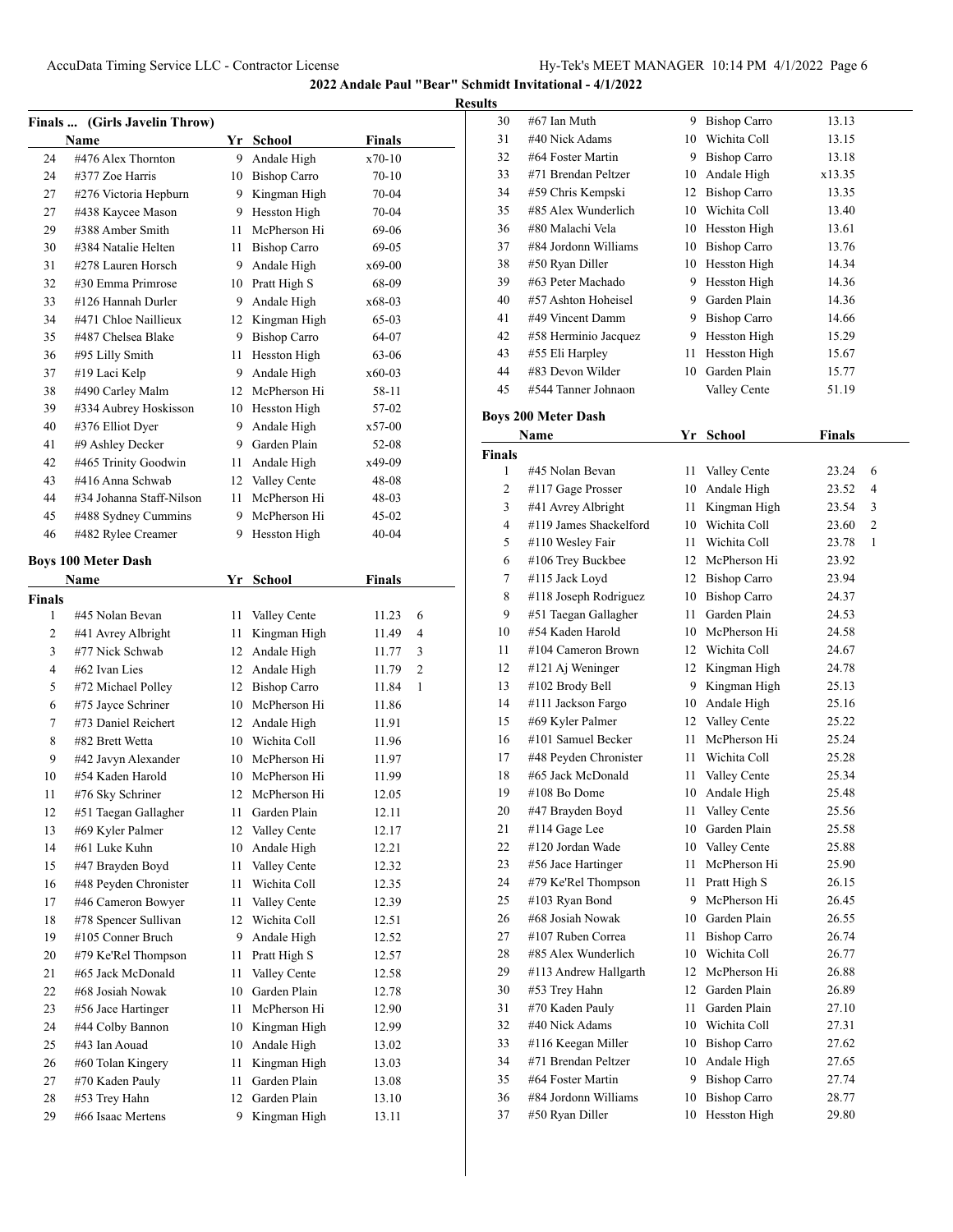**Results**

|        | Finals  (Girls Javelin Throw) |    |                     |           |   |
|--------|-------------------------------|----|---------------------|-----------|---|
|        | Name                          |    | Yr School           | Finals    |   |
| 24     | #476 Alex Thornton            | 9. | Andale High         | x70-10    |   |
| 24     | #377 Zoe Harris               |    | 10 Bishop Carro     | $70 - 10$ |   |
| 27     | #276 Victoria Hepburn         |    | 9 Kingman High      | 70-04     |   |
| 27     | #438 Kaycee Mason             |    | 9 Hesston High      | 70-04     |   |
| 29     | #388 Amber Smith              | 11 | McPherson Hi        | 69-06     |   |
| 30     | #384 Natalie Helten           | 11 | <b>Bishop Carro</b> | 69-05     |   |
| 31     | #278 Lauren Horsch            | 9. | Andale High         | x69-00    |   |
| 32     | #30 Emma Primrose             |    | 10 Pratt High S     | 68-09     |   |
| 33     | #126 Hannah Durler            |    | 9 Andale High       | x68-03    |   |
| 34     | #471 Chloe Naillieux          |    | 12 Kingman High     | 65-03     |   |
| 35     | #487 Chelsea Blake            |    | 9 Bishop Carro      | 64-07     |   |
| 36     | #95 Lilly Smith               | 11 | Hesston High        | 63-06     |   |
| 37     | #19 Laci Kelp                 |    | 9 Andale High       | $x60-03$  |   |
| 38     | #490 Carley Malm              |    | 12 McPherson Hi     | 58-11     |   |
| 39     | #334 Aubrey Hoskisson         |    | 10 Hesston High     | 57-02     |   |
| 40     | #376 Elliot Dyer              | 9. | Andale High         | $x57-00$  |   |
| 41     | #9 Ashley Decker              |    | 9 Garden Plain      | 52-08     |   |
| 42     | #465 Trinity Goodwin          | 11 | Andale High         | x49-09    |   |
| 43     | #416 Anna Schwab              |    | 12 Valley Cente     | 48-08     |   |
| 44     | #34 Johanna Staff-Nilson      | 11 | McPherson Hi        | 48-03     |   |
| 45     | #488 Sydney Cummins           |    | 9 McPherson Hi      | $45-02$   |   |
| 46     | #482 Rylee Creamer            | 9  | Hesston High        | $40 - 04$ |   |
|        | <b>Boys 100 Meter Dash</b>    |    |                     |           |   |
|        | Name                          | Yr | <b>School</b>       | Finals    |   |
| Finals |                               |    |                     |           |   |
| 1      | #45 Nolan Bevan               | 11 | Valley Cente        | 11.23     | 6 |
| 2      | #41 Avrey Albright            | 11 | Kingman High        | 11.49     | 4 |
| 3      | #77 Nick Schwab               | 12 | Andale High         | 11.77     | 3 |
| 4      | #62 Ivan Lies                 |    | 12 Andale High      | 11.79     | 2 |
| 5      | #72 Michael Polley            |    | 12 Bishop Carro     | 11.84     | 1 |
| 6      | #75 Jayce Schriner            |    | 10 McPherson Hi     | 11.86     |   |
| 7      | #73 Daniel Reichert           |    | 12 Andale High      | 11.91     |   |
| 8      | #82 Brett Wetta               |    | 10 Wichita Coll     | 11.96     |   |
| 9      | #42 Javyn Alexander           |    | 10 McPherson Hi     | 11.97     |   |
| 10     | #54 Kaden Harold              | 10 | McPherson Hi        | 11.99     |   |
| 11     | #76 Sky Schriner              | 12 | McPherson Hi        | 12.05     |   |
| 12     | #51 Taegan Gallagher          | 11 | Garden Plain        | 12.11     |   |
| 13     | #69 Kyler Palmer              | 12 | Valley Cente        | 12.17     |   |
| 14     | #61 Luke Kuhn                 | 10 | Andale High         | 12.21     |   |
| 15     | #47 Brayden Boyd              | 11 | Valley Cente        | 12.32     |   |
| 16     | #48 Peyden Chronister         | 11 | Wichita Coll        | 12.35     |   |
| 17     | #46 Cameron Bowyer            | 11 | Valley Cente        | 12.39     |   |
| 18     | #78 Spencer Sullivan          | 12 | Wichita Coll        | 12.51     |   |
| 19     | #105 Conner Bruch             | 9  | Andale High         | 12.52     |   |
| 20     | #79 Ke'Rel Thompson           | 11 | Pratt High S        | 12.57     |   |
| 21     | #65 Jack McDonald             | 11 | Valley Cente        | 12.58     |   |
| 22     | #68 Josiah Nowak              | 10 | Garden Plain        | 12.78     |   |
| 23     | #56 Jace Hartinger            | 11 | McPherson Hi        | 12.90     |   |
| 24     | #44 Colby Bannon              | 10 | Kingman High        | 12.99     |   |
| 25     | #43 Ian Aouad                 | 10 | Andale High         | 13.02     |   |
| 26     | #60 Tolan Kingery             | 11 | Kingman High        | 13.03     |   |
| 27     | #70 Kaden Pauly               | 11 | Garden Plain        | 13.08     |   |
| 28     | #53 Trey Hahn                 | 12 | Garden Plain        | 13.10     |   |
| 29     | #66 Isaac Mertens             | 9  | Kingman High        | 13.11     |   |
|        |                               |    |                     |           |   |

| s  |                      |    |                     |        |  |
|----|----------------------|----|---------------------|--------|--|
| 30 | #67 Ian Muth         | 9  | <b>Bishop Carro</b> | 13.13  |  |
| 31 | #40 Nick Adams       | 10 | Wichita Coll        | 13.15  |  |
| 32 | #64 Foster Martin    | 9  | <b>Bishop Carro</b> | 13.18  |  |
| 33 | #71 Brendan Peltzer  | 10 | Andale High         | x13.35 |  |
| 34 | #59 Chris Kempski    | 12 | <b>Bishop Carro</b> | 13.35  |  |
| 35 | #85 Alex Wunderlich  | 10 | Wichita Coll        | 13.40  |  |
| 36 | #80 Malachi Vela     | 10 | Hesston High        | 13.61  |  |
| 37 | #84 Jordonn Williams | 10 | <b>Bishop Carro</b> | 13.76  |  |
| 38 | #50 Ryan Diller      | 10 | Hesston High        | 14.34  |  |
| 39 | #63 Peter Machado    | 9  | Hesston High        | 14.36  |  |
| 40 | #57 Ashton Hoheisel  | 9  | Garden Plain        | 14.36  |  |
| 41 | #49 Vincent Damm     | 9  | <b>Bishop Carro</b> | 14.66  |  |
| 42 | #58 Herminio Jacquez | 9  | Hesston High        | 15.29  |  |
| 43 | #55 Eli Harpley      | 11 | Hesston High        | 15.67  |  |
| 44 | #83 Devon Wilder     | 10 | Garden Plain        | 15.77  |  |
| 45 | #544 Tanner Johnaon  |    | Valley Cente        | 51.19  |  |

# **Boys 200 Meter Dash**

| Name          |                        |      | Yr School           | <b>Finals</b> |                |  |
|---------------|------------------------|------|---------------------|---------------|----------------|--|
| <b>Finals</b> |                        |      |                     |               |                |  |
| 1             | #45 Nolan Bevan        | 11   | Valley Cente        | 23.24         | 6              |  |
| 2             | #117 Gage Prosser      | 10   | Andale High         | 23.52         | 4              |  |
| 3             | #41 Avrey Albright     | 11   | Kingman High        | 23.54         | 3              |  |
| 4             | #119 James Shackelford |      | 10 Wichita Coll     | 23.60         | $\overline{c}$ |  |
| 5             | #110 Wesley Fair       | 11   | Wichita Coll        | 23.78         | $\mathbf{1}$   |  |
| 6             | #106 Trey Buckbee      | 12   | McPherson Hi        | 23.92         |                |  |
| 7             | #115 Jack Loyd         | 12   | <b>Bishop Carro</b> | 23.94         |                |  |
| 8             | #118 Joseph Rodriguez  | 10   | <b>Bishop Carro</b> | 24.37         |                |  |
| 9             | #51 Taegan Gallagher   | 11 - | Garden Plain        | 24.53         |                |  |
| 10            | #54 Kaden Harold       | 10   | McPherson Hi        | 24.58         |                |  |
| 11            | #104 Cameron Brown     |      | 12 Wichita Coll     | 24.67         |                |  |
| 12            | #121 Aj Weninger       |      | 12 Kingman High     | 24.78         |                |  |
| 13            | #102 Brody Bell        |      | 9 Kingman High      | 25.13         |                |  |
| 14            | #111 Jackson Fargo     |      | 10 Andale High      | 25.16         |                |  |
| 15            | #69 Kyler Palmer       |      | 12 Valley Cente     | 25.22         |                |  |
| 16            | #101 Samuel Becker     | 11   | McPherson Hi        | 25.24         |                |  |
| 17            | #48 Peyden Chronister  | 11   | Wichita Coll        | 25.28         |                |  |
| 18            | #65 Jack McDonald      | 11   | Valley Cente        | 25.34         |                |  |
| 19            | #108 Bo Dome           | 10   | Andale High         | 25.48         |                |  |
| 20            | #47 Brayden Boyd       | 11   | Valley Cente        | 25.56         |                |  |
| 21            | #114 Gage Lee          | 10   | Garden Plain        | 25.58         |                |  |
| 22            | #120 Jordan Wade       |      | 10 Valley Cente     | 25.88         |                |  |
| 23            | #56 Jace Hartinger     | 11   | McPherson Hi        | 25.90         |                |  |
| 24            | #79 Ke'Rel Thompson    | 11.  | Pratt High S        | 26.15         |                |  |
| 25            | #103 Ryan Bond         | 9.   | McPherson Hi        | 26.45         |                |  |
| 26            | #68 Josiah Nowak       |      | 10 Garden Plain     | 26.55         |                |  |
| 27            | #107 Ruben Correa      | 11-  | <b>Bishop Carro</b> | 26.74         |                |  |
| 28            | #85 Alex Wunderlich    |      | 10 Wichita Coll     | 26.77         |                |  |
| 29            | #113 Andrew Hallgarth  | 12   | McPherson Hi        | 26.88         |                |  |
| 30            | #53 Trey Hahn          | 12   | Garden Plain        | 26.89         |                |  |
| 31            | #70 Kaden Pauly        | 11   | Garden Plain        | 27.10         |                |  |
| 32            | #40 Nick Adams         |      | 10 Wichita Coll     | 27.31         |                |  |
| 33            | #116 Keegan Miller     |      | 10 Bishop Carro     | 27.62         |                |  |
| 34            | #71 Brendan Peltzer    |      | 10 Andale High      | 27.65         |                |  |
| 35            | #64 Foster Martin      |      | 9 Bishop Carro      | 27.74         |                |  |
| 36            | #84 Jordonn Williams   | 10   | <b>Bishop Carro</b> | 28.77         |                |  |
| 37            | #50 Ryan Diller        | 10   | Hesston High        | 29.80         |                |  |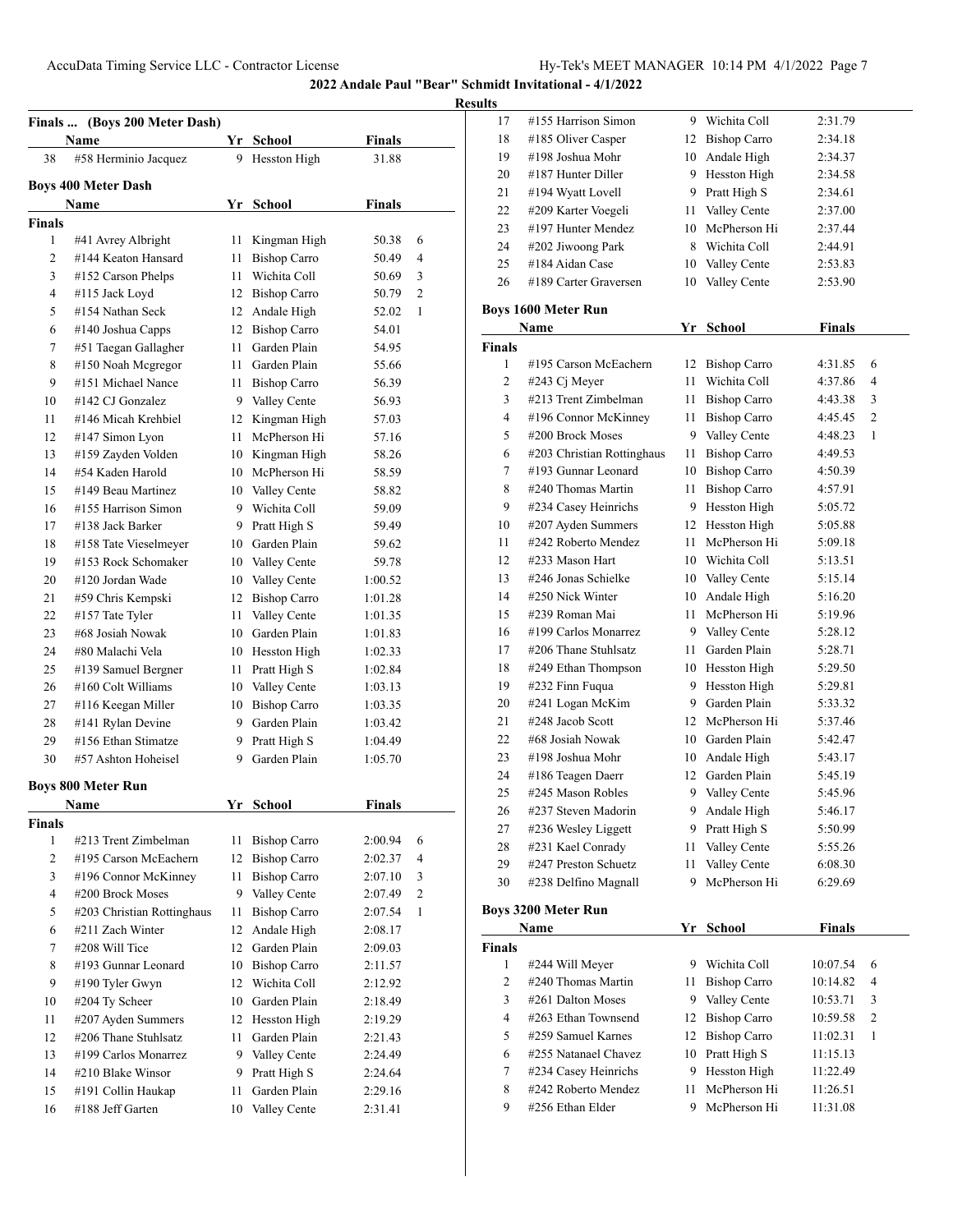**Results**

|               | Finals  (Boys 200 Meter Dash)           |         |                              |                    |   |
|---------------|-----------------------------------------|---------|------------------------------|--------------------|---|
|               | Name                                    |         | Yr School                    | <b>Finals</b>      |   |
| 38            | #58 Herminio Jacquez                    | 9       | Hesston High                 | 31.88              |   |
|               | <b>Boys 400 Meter Dash</b>              |         |                              |                    |   |
|               | <b>Name</b>                             | Yr      | <b>School</b>                | <b>Finals</b>      |   |
| <b>Finals</b> |                                         |         |                              |                    |   |
| 1             | #41 Avrey Albright                      | 11      | Kingman High                 | 50.38              | 6 |
| 2             | #144 Keaton Hansard                     | 11      | <b>Bishop Carro</b>          | 50.49              | 4 |
| 3             | #152 Carson Phelps                      | 11      | Wichita Coll                 | 50.69              | 3 |
| 4             | #115 Jack Loyd                          |         | 12 Bishop Carro              | 50.79              | 2 |
| 5             | #154 Nathan Seck                        | 12      | Andale High                  | 52.02              | 1 |
| 6             | #140 Joshua Capps                       | 12      | <b>Bishop Carro</b>          | 54.01              |   |
| 7             | #51 Taegan Gallagher                    | 11      | Garden Plain                 | 54.95              |   |
| 8             | #150 Noah Mcgregor                      | 11 -    | Garden Plain                 | 55.66              |   |
| 9             | #151 Michael Nance                      | 11      | <b>Bishop Carro</b>          | 56.39              |   |
| 10            | #142 CJ Gonzalez                        |         | 9 Valley Cente               | 56.93              |   |
| 11            | #146 Micah Krehbiel                     |         | 12 Kingman High              | 57.03              |   |
| 12            | #147 Simon Lyon                         | 11      | McPherson Hi                 | 57.16              |   |
| 13            | #159 Zayden Volden                      |         | 10 Kingman High              | 58.26              |   |
| 14            | #54 Kaden Harold                        |         | 10 McPherson Hi              | 58.59              |   |
| 15            | #149 Beau Martinez                      |         | 10 Valley Cente              | 58.82              |   |
| 16            | #155 Harrison Simon                     |         | 9 Wichita Coll               | 59.09              |   |
| 17            | #138 Jack Barker                        |         | 9 Pratt High S               | 59.49              |   |
| 18            | #158 Tate Vieselmeyer                   |         | 10 Garden Plain              | 59.62              |   |
|               | #153 Rock Schomaker                     |         |                              |                    |   |
| 19            | #120 Jordan Wade                        |         | 10 Valley Cente              | 59.78              |   |
| 20            |                                         | 10      | Valley Cente                 | 1:00.52            |   |
| 21            | #59 Chris Kempski                       | 12      | <b>Bishop Carro</b>          | 1:01.28            |   |
| 22            | #157 Tate Tyler                         | 11      | Valley Cente                 | 1:01.35            |   |
| 23            | #68 Josiah Nowak                        | 10      | Garden Plain                 | 1:01.83            |   |
| 24            | #80 Malachi Vela                        |         | 10 Hesston High              | 1:02.33            |   |
| 25            | #139 Samuel Bergner                     | 11      | Pratt High S                 | 1:02.84            |   |
| 26            | #160 Colt Williams                      | 10      | Valley Cente                 | 1:03.13            |   |
| 27            | #116 Keegan Miller                      | 10      | <b>Bishop Carro</b>          | 1:03.35            |   |
| 28            | #141 Rylan Devine                       | 9       | Garden Plain                 | 1:03.42            |   |
| 29            | #156 Ethan Stimatze                     | 9.      | Pratt High S                 | 1:04.49            |   |
| 30            | #57 Ashton Hoheisel                     | 9       | Garden Plain                 | 1:05.70            |   |
|               | <b>Boys 800 Meter Run</b>               |         |                              |                    |   |
|               | Name                                    | Yr      | <b>School</b>                | Finals             |   |
| <b>Finals</b> |                                         |         |                              |                    |   |
| 1             | #213 Trent Zimbelman                    | 11      | <b>Bishop Carro</b>          | 2:00.94            | 6 |
| 2             | #195 Carson McEachern                   | 12      | <b>Bishop Carro</b>          | 2:02.37            | 4 |
| 3             | #196 Connor McKinney                    | 11      | <b>Bishop Carro</b>          | 2:07.10            | 3 |
| 4             | #200 Brock Moses                        | 9       | Valley Cente                 | 2:07.49            | 2 |
| 5             | #203 Christian Rottinghaus              | 11      | <b>Bishop Carro</b>          | 2:07.54            | 1 |
| 6             | #211 Zach Winter                        | 12      | Andale High                  | 2:08.17            |   |
| 7             | #208 Will Tice                          | 12      | Garden Plain                 | 2:09.03            |   |
| 8             | #193 Gunnar Leonard                     | 10      | <b>Bishop Carro</b>          | 2:11.57            |   |
| 9             | #190 Tyler Gwyn                         | 12      | Wichita Coll                 | 2:12.92            |   |
|               | #204 Ty Scheer                          | 10      | Garden Plain                 | 2:18.49            |   |
|               | #207 Ayden Summers                      | 12      | Hesston High                 | 2:19.29            |   |
| 10            |                                         |         |                              | 2:21.43            |   |
| 11            |                                         |         |                              |                    |   |
| 12            | #206 Thane Stuhlsatz                    | 11      | Garden Plain                 |                    |   |
| 13            | #199 Carlos Monarrez                    |         | 9 Valley Cente               | 2:24.49            |   |
| 14<br>15      | #210 Blake Winsor<br>#191 Collin Haukap | 9<br>11 | Pratt High S<br>Garden Plain | 2:24.64<br>2:29.16 |   |

| 17            | #155 Harrison Simon        |                 | 9 Wichita Coll      | 2:31.79            |   |
|---------------|----------------------------|-----------------|---------------------|--------------------|---|
| 18            | #185 Oliver Casper         | 12 Bishop Carro |                     | 2:34.18            |   |
| 19            | #198 Joshua Mohr           |                 | 10 Andale High      | 2:34.37            |   |
| 20            | #187 Hunter Diller         |                 | 9 Hesston High      | 2:34.58            |   |
| 21            | #194 Wyatt Lovell          |                 | 9 Pratt High S      | 2:34.61            |   |
| 22            | #209 Karter Voegeli        | 11 -            | Valley Cente        | 2:37.00            |   |
| 23            | #197 Hunter Mendez         |                 | 10 McPherson Hi     | 2:37.44            |   |
| 24            | #202 Jiwoong Park          |                 | 8 Wichita Coll      | 2:44.91            |   |
| 25            | #184 Aidan Case            |                 | 10 Valley Cente     |                    |   |
| 26            | #189 Carter Graversen      |                 | 10 Valley Cente     | 2:53.83<br>2:53.90 |   |
|               |                            |                 |                     |                    |   |
|               | <b>Boys 1600 Meter Run</b> |                 |                     |                    |   |
|               | Name                       | Yr              | <b>School</b>       | <b>Finals</b>      |   |
| <b>Finals</b> |                            |                 |                     |                    |   |
| 1             | #195 Carson McEachern      |                 | 12 Bishop Carro     | 4:31.85            | 6 |
| 2             | #243 $Cj$ Meyer            | 11              | Wichita Coll        | 4:37.86            | 4 |
| 3             | #213 Trent Zimbelman       | 11              | <b>Bishop Carro</b> | 4:43.38            | 3 |
| 4             | #196 Connor McKinney       | 11 -            | <b>Bishop Carro</b> | 4:45.45            | 2 |
| 5             | #200 Brock Moses           |                 | 9 Valley Cente      | 4:48.23            | 1 |
| 6             | #203 Christian Rottinghaus | 11 -            | <b>Bishop Carro</b> | 4:49.53            |   |
| 7             | #193 Gunnar Leonard        |                 | 10 Bishop Carro     | 4:50.39            |   |
| 8             | #240 Thomas Martin         | 11              | <b>Bishop Carro</b> | 4:57.91            |   |
| 9             | #234 Casey Heinrichs       |                 | 9 Hesston High      | 5:05.72            |   |
| 10            | #207 Ayden Summers         |                 | 12 Hesston High     | 5:05.88            |   |
| 11            | #242 Roberto Mendez        | 11              | McPherson Hi        | 5:09.18            |   |
| 12            | #233 Mason Hart            |                 | 10 Wichita Coll     | 5:13.51            |   |
| 13            | #246 Jonas Schielke        |                 | 10 Valley Cente     | 5:15.14            |   |
| 14            | #250 Nick Winter           |                 | 10 Andale High      | 5:16.20            |   |
| 15            | #239 Roman Mai             | 11.             | McPherson Hi        | 5:19.96            |   |
| 16            | #199 Carlos Monarrez       |                 | 9 Valley Cente      | 5:28.12            |   |
| 17            | #206 Thane Stuhlsatz       | 11 -            | Garden Plain        | 5:28.71            |   |
| 18            | #249 Ethan Thompson        |                 | 10 Hesston High     | 5:29.50            |   |
| 19            | #232 Finn Fuqua            |                 | 9 Hesston High      | 5:29.81            |   |
| 20            | #241 Logan McKim           |                 | 9 Garden Plain      | 5:33.32            |   |
| 21            | #248 Jacob Scott           |                 | 12 McPherson Hi     | 5:37.46            |   |
| 22            | #68 Josiah Nowak           |                 | 10 Garden Plain     | 5:42.47            |   |
| 23            | #198 Joshua Mohr           |                 | 10 Andale High      | 5:43.17            |   |
| 24            | #186 Teagen Daerr          |                 | 12 Garden Plain     | 5:45.19            |   |
| 25            | #245 Mason Robles          |                 | 9 Valley Cente      | 5:45.96            |   |
|               | #237 Steven Madorin        |                 |                     | 5:46.17            |   |
| 26            |                            |                 | 9 Andale High       |                    |   |
| 27            | #236 Wesley Liggett        |                 | 9 Pratt High S      | 5:50.99            |   |
| 28            | #231 Kael Conrady          | 11              | Valley Cente        | 5:55.26            |   |
| 29            | #247 Preston Schuetz       | 11              | Valley Cente        | 6:08.30            |   |
| 30            | #238 Delfino Magnall       | 9               | McPherson Hi        | 6:29.69            |   |
|               | <b>Boys 3200 Meter Run</b> |                 |                     |                    |   |
|               | Name                       | Yr              | <b>School</b>       | <b>Finals</b>      |   |
| <b>Finals</b> |                            |                 |                     |                    |   |
| 1             | #244 Will Meyer            |                 | 9 Wichita Coll      | 10:07.54           | 6 |
| 2             | #240 Thomas Martin         | 11              | <b>Bishop Carro</b> | 10:14.82           | 4 |
| 3             | #261 Dalton Moses          |                 | 9 Valley Cente      | 10:53.71           | 3 |
| 4             | #263 Ethan Townsend        |                 | 12 Bishop Carro     | 10:59.58           | 2 |
| 5             | #259 Samuel Karnes         |                 | 12 Bishop Carro     | 11:02.31           | 1 |
| 6             | #255 Natanael Chavez       |                 | 10 Pratt High S     | 11:15.13           |   |
| 7             | #234 Casey Heinrichs       | 9               | Hesston High        | 11:22.49           |   |
| 8             | #242 Roberto Mendez        | 11              | McPherson Hi        | 11:26.51           |   |
| 9             | #256 Ethan Elder           | 9               | McPherson Hi        | 11:31.08           |   |
|               |                            |                 |                     |                    |   |
|               |                            |                 |                     |                    |   |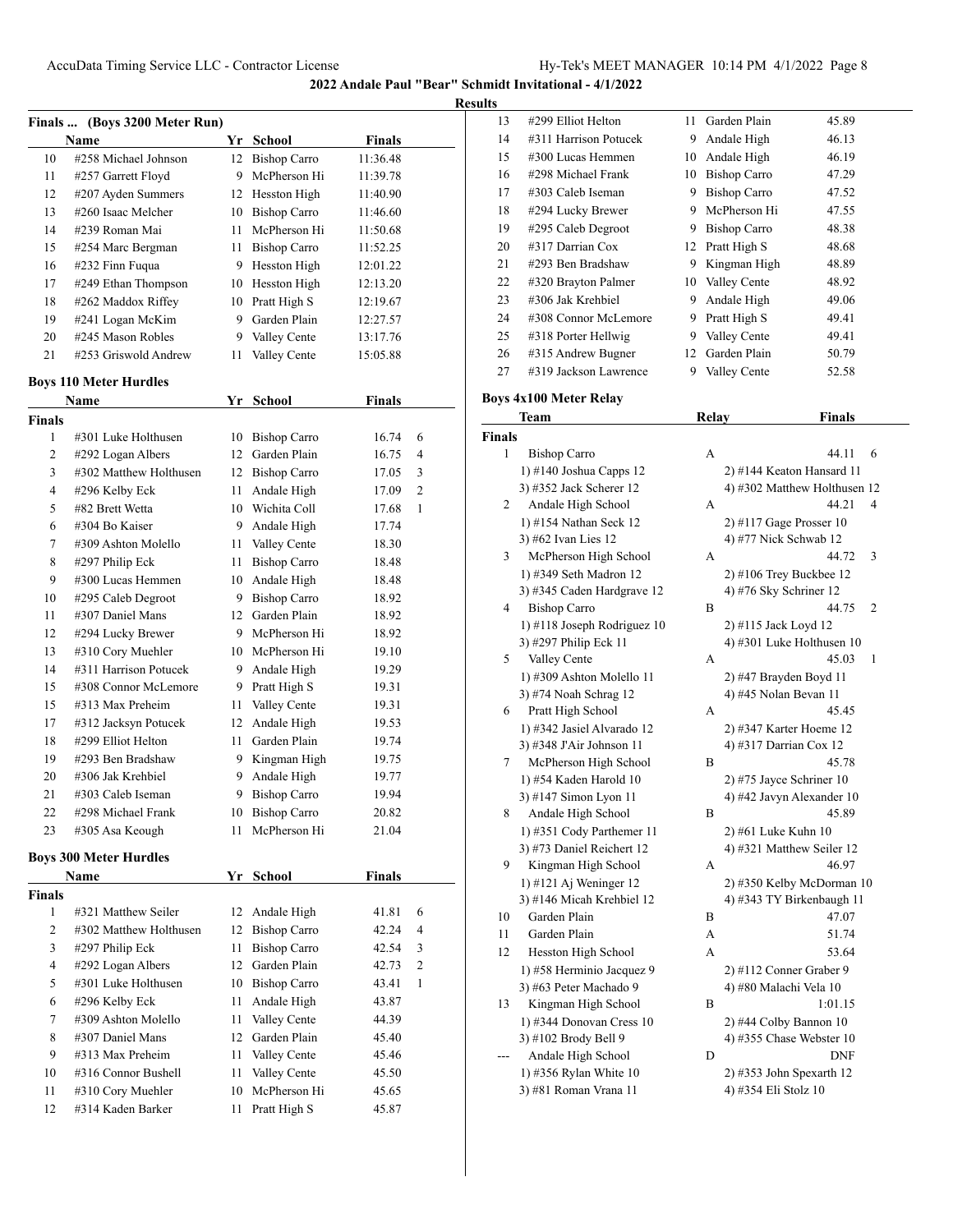| 10<br>#258 Michael Johnson<br>12<br><b>Bishop Carro</b><br>11:36.48<br>McPherson Hi<br>11<br>#257 Garrett Floyd<br>9<br>11:39.78<br>12<br>#207 Ayden Summers<br>Hesston High<br>11:40.90<br>12<br>#260 Isaac Melcher<br>13<br>10<br><b>Bishop Carro</b><br>11:46.60<br>#239 Roman Mai<br>McPherson Hi<br>14<br>11<br>11:50.68<br>15<br>#254 Marc Bergman<br>11<br><b>Bishop Carro</b><br>11:52.25<br>Hesston High<br>16<br>#232 Finn Fuqua<br>9<br>12:01.22<br>17<br>#249 Ethan Thompson<br>10<br>Hesston High<br>12:13.20<br>#262 Maddox Riffey<br>10<br>Pratt High S<br>18<br>12:19.67<br>Garden Plain<br>19<br>#241 Logan McKim<br>9<br>12:27.57<br>#245 Mason Robles<br>9<br>Valley Cente<br>20<br>13:17.76<br>21<br>#253 Griswold Andrew<br>11<br>Valley Cente<br>15:05.88<br><b>Finals</b><br>Yr School<br>Name<br>1<br>#301 Luke Holthusen<br><b>Bishop Carro</b><br>16.74<br>10<br>2<br>Garden Plain<br>#292 Logan Albers<br>12<br>16.75<br>3<br>#302 Matthew Holthusen<br>12<br><b>Bishop Carro</b><br>17.05<br>$\overline{4}$<br>#296 Kelby Eck<br>11<br>Andale High<br>17.09<br>5<br>#82 Brett Wetta<br>Wichita Coll<br>10<br>17.68<br>6<br>#304 Bo Kaiser<br>9<br>Andale High<br>17.74<br>7<br>#309 Ashton Molello<br>11<br>Valley Cente<br>18.30<br><b>Bishop Carro</b><br>8<br>#297 Philip Eck<br>11<br>18.48<br>9<br>#300 Lucas Hemmen<br>Andale High<br>10<br>18.48<br><b>Bishop Carro</b><br>10<br>#295 Caleb Degroot<br>9<br>18.92<br>Garden Plain<br>11<br>#307 Daniel Mans<br>12<br>18.92<br>12<br>#294 Lucky Brewer<br>9.<br>McPherson Hi<br>18.92<br>#310 Cory Muehler<br>13<br>McPherson Hi<br>10<br>19.10<br>#311 Harrison Potucek<br>14<br>9<br>Andale High<br>19.29<br>15<br>#308 Connor McLemore<br>9.<br>Pratt High S<br>19.31<br>Valley Cente<br>15<br>#313 Max Preheim<br>11<br>19.31<br>12<br>Andale High<br>17<br>#312 Jacksyn Potucek<br>19.53<br>#299 Elliot Helton<br>Garden Plain<br>18<br>11<br>19.74<br>19<br>#293 Ben Bradshaw<br>9<br>Kingman High<br>19.75<br>#306 Jak Krehbiel<br>Andale High<br>20<br>9<br>19.77<br>9 Bishop Carro<br>21<br>19.94<br>#303 Caleb Iseman<br>#298 Michael Frank<br>10 Bishop Carro<br>22<br>20.82<br>23<br>#305 Asa Keough<br>11<br>McPherson Hi<br>21.04<br>Yr_School<br><b>Finals</b><br>Name<br>1<br>#321 Matthew Seiler<br>Andale High<br>41.81<br>12<br>2<br>#302 Matthew Holthusen<br>12<br><b>Bishop Carro</b><br>42.24<br>3<br><b>Bishop Carro</b><br>#297 Philip Eck<br>11<br>42.54<br>4<br>#292 Logan Albers<br>Garden Plain<br>12<br>42.73<br>5<br>#301 Luke Holthusen<br>10<br><b>Bishop Carro</b><br>43.41<br>Andale High<br>6<br>#296 Kelby Eck<br>11<br>43.87<br>7<br>Valley Cente<br>#309 Ashton Molello<br>11<br>44.39<br>#307 Daniel Mans<br>Garden Plain<br>8<br>12<br>45.40<br>9<br>#313 Max Preheim<br>11<br>Valley Cente<br>45.46<br>#316 Connor Bushell<br>11<br>Valley Cente<br>10<br>45.50<br>McPherson Hi<br>11<br>#310 Cory Muehler<br>10<br>45.65 | Finals  (Boys 3200 Meter Run)<br>Name | Yr | School | <b>Finals</b> |   |
|-------------------------------------------------------------------------------------------------------------------------------------------------------------------------------------------------------------------------------------------------------------------------------------------------------------------------------------------------------------------------------------------------------------------------------------------------------------------------------------------------------------------------------------------------------------------------------------------------------------------------------------------------------------------------------------------------------------------------------------------------------------------------------------------------------------------------------------------------------------------------------------------------------------------------------------------------------------------------------------------------------------------------------------------------------------------------------------------------------------------------------------------------------------------------------------------------------------------------------------------------------------------------------------------------------------------------------------------------------------------------------------------------------------------------------------------------------------------------------------------------------------------------------------------------------------------------------------------------------------------------------------------------------------------------------------------------------------------------------------------------------------------------------------------------------------------------------------------------------------------------------------------------------------------------------------------------------------------------------------------------------------------------------------------------------------------------------------------------------------------------------------------------------------------------------------------------------------------------------------------------------------------------------------------------------------------------------------------------------------------------------------------------------------------------------------------------------------------------------------------------------------------------------------------------------------------------------------------------------------------------------------------------------------------------------------------------------------------------------------------------------------------------------------------------------------------------------------------------------------------------------------------------------------------------------------------------------|---------------------------------------|----|--------|---------------|---|
|                                                                                                                                                                                                                                                                                                                                                                                                                                                                                                                                                                                                                                                                                                                                                                                                                                                                                                                                                                                                                                                                                                                                                                                                                                                                                                                                                                                                                                                                                                                                                                                                                                                                                                                                                                                                                                                                                                                                                                                                                                                                                                                                                                                                                                                                                                                                                                                                                                                                                                                                                                                                                                                                                                                                                                                                                                                                                                                                                       |                                       |    |        |               |   |
|                                                                                                                                                                                                                                                                                                                                                                                                                                                                                                                                                                                                                                                                                                                                                                                                                                                                                                                                                                                                                                                                                                                                                                                                                                                                                                                                                                                                                                                                                                                                                                                                                                                                                                                                                                                                                                                                                                                                                                                                                                                                                                                                                                                                                                                                                                                                                                                                                                                                                                                                                                                                                                                                                                                                                                                                                                                                                                                                                       |                                       |    |        |               |   |
| <b>Boys 110 Meter Hurdles</b><br><b>Finals</b><br><b>Boys 300 Meter Hurdles</b><br>Finals                                                                                                                                                                                                                                                                                                                                                                                                                                                                                                                                                                                                                                                                                                                                                                                                                                                                                                                                                                                                                                                                                                                                                                                                                                                                                                                                                                                                                                                                                                                                                                                                                                                                                                                                                                                                                                                                                                                                                                                                                                                                                                                                                                                                                                                                                                                                                                                                                                                                                                                                                                                                                                                                                                                                                                                                                                                             |                                       |    |        |               |   |
|                                                                                                                                                                                                                                                                                                                                                                                                                                                                                                                                                                                                                                                                                                                                                                                                                                                                                                                                                                                                                                                                                                                                                                                                                                                                                                                                                                                                                                                                                                                                                                                                                                                                                                                                                                                                                                                                                                                                                                                                                                                                                                                                                                                                                                                                                                                                                                                                                                                                                                                                                                                                                                                                                                                                                                                                                                                                                                                                                       |                                       |    |        |               |   |
|                                                                                                                                                                                                                                                                                                                                                                                                                                                                                                                                                                                                                                                                                                                                                                                                                                                                                                                                                                                                                                                                                                                                                                                                                                                                                                                                                                                                                                                                                                                                                                                                                                                                                                                                                                                                                                                                                                                                                                                                                                                                                                                                                                                                                                                                                                                                                                                                                                                                                                                                                                                                                                                                                                                                                                                                                                                                                                                                                       |                                       |    |        |               |   |
|                                                                                                                                                                                                                                                                                                                                                                                                                                                                                                                                                                                                                                                                                                                                                                                                                                                                                                                                                                                                                                                                                                                                                                                                                                                                                                                                                                                                                                                                                                                                                                                                                                                                                                                                                                                                                                                                                                                                                                                                                                                                                                                                                                                                                                                                                                                                                                                                                                                                                                                                                                                                                                                                                                                                                                                                                                                                                                                                                       |                                       |    |        |               |   |
|                                                                                                                                                                                                                                                                                                                                                                                                                                                                                                                                                                                                                                                                                                                                                                                                                                                                                                                                                                                                                                                                                                                                                                                                                                                                                                                                                                                                                                                                                                                                                                                                                                                                                                                                                                                                                                                                                                                                                                                                                                                                                                                                                                                                                                                                                                                                                                                                                                                                                                                                                                                                                                                                                                                                                                                                                                                                                                                                                       |                                       |    |        |               |   |
|                                                                                                                                                                                                                                                                                                                                                                                                                                                                                                                                                                                                                                                                                                                                                                                                                                                                                                                                                                                                                                                                                                                                                                                                                                                                                                                                                                                                                                                                                                                                                                                                                                                                                                                                                                                                                                                                                                                                                                                                                                                                                                                                                                                                                                                                                                                                                                                                                                                                                                                                                                                                                                                                                                                                                                                                                                                                                                                                                       |                                       |    |        |               |   |
|                                                                                                                                                                                                                                                                                                                                                                                                                                                                                                                                                                                                                                                                                                                                                                                                                                                                                                                                                                                                                                                                                                                                                                                                                                                                                                                                                                                                                                                                                                                                                                                                                                                                                                                                                                                                                                                                                                                                                                                                                                                                                                                                                                                                                                                                                                                                                                                                                                                                                                                                                                                                                                                                                                                                                                                                                                                                                                                                                       |                                       |    |        |               |   |
|                                                                                                                                                                                                                                                                                                                                                                                                                                                                                                                                                                                                                                                                                                                                                                                                                                                                                                                                                                                                                                                                                                                                                                                                                                                                                                                                                                                                                                                                                                                                                                                                                                                                                                                                                                                                                                                                                                                                                                                                                                                                                                                                                                                                                                                                                                                                                                                                                                                                                                                                                                                                                                                                                                                                                                                                                                                                                                                                                       |                                       |    |        |               |   |
|                                                                                                                                                                                                                                                                                                                                                                                                                                                                                                                                                                                                                                                                                                                                                                                                                                                                                                                                                                                                                                                                                                                                                                                                                                                                                                                                                                                                                                                                                                                                                                                                                                                                                                                                                                                                                                                                                                                                                                                                                                                                                                                                                                                                                                                                                                                                                                                                                                                                                                                                                                                                                                                                                                                                                                                                                                                                                                                                                       |                                       |    |        |               |   |
|                                                                                                                                                                                                                                                                                                                                                                                                                                                                                                                                                                                                                                                                                                                                                                                                                                                                                                                                                                                                                                                                                                                                                                                                                                                                                                                                                                                                                                                                                                                                                                                                                                                                                                                                                                                                                                                                                                                                                                                                                                                                                                                                                                                                                                                                                                                                                                                                                                                                                                                                                                                                                                                                                                                                                                                                                                                                                                                                                       |                                       |    |        |               |   |
|                                                                                                                                                                                                                                                                                                                                                                                                                                                                                                                                                                                                                                                                                                                                                                                                                                                                                                                                                                                                                                                                                                                                                                                                                                                                                                                                                                                                                                                                                                                                                                                                                                                                                                                                                                                                                                                                                                                                                                                                                                                                                                                                                                                                                                                                                                                                                                                                                                                                                                                                                                                                                                                                                                                                                                                                                                                                                                                                                       |                                       |    |        |               |   |
|                                                                                                                                                                                                                                                                                                                                                                                                                                                                                                                                                                                                                                                                                                                                                                                                                                                                                                                                                                                                                                                                                                                                                                                                                                                                                                                                                                                                                                                                                                                                                                                                                                                                                                                                                                                                                                                                                                                                                                                                                                                                                                                                                                                                                                                                                                                                                                                                                                                                                                                                                                                                                                                                                                                                                                                                                                                                                                                                                       |                                       |    |        |               |   |
|                                                                                                                                                                                                                                                                                                                                                                                                                                                                                                                                                                                                                                                                                                                                                                                                                                                                                                                                                                                                                                                                                                                                                                                                                                                                                                                                                                                                                                                                                                                                                                                                                                                                                                                                                                                                                                                                                                                                                                                                                                                                                                                                                                                                                                                                                                                                                                                                                                                                                                                                                                                                                                                                                                                                                                                                                                                                                                                                                       |                                       |    |        |               |   |
|                                                                                                                                                                                                                                                                                                                                                                                                                                                                                                                                                                                                                                                                                                                                                                                                                                                                                                                                                                                                                                                                                                                                                                                                                                                                                                                                                                                                                                                                                                                                                                                                                                                                                                                                                                                                                                                                                                                                                                                                                                                                                                                                                                                                                                                                                                                                                                                                                                                                                                                                                                                                                                                                                                                                                                                                                                                                                                                                                       |                                       |    |        |               | 6 |
|                                                                                                                                                                                                                                                                                                                                                                                                                                                                                                                                                                                                                                                                                                                                                                                                                                                                                                                                                                                                                                                                                                                                                                                                                                                                                                                                                                                                                                                                                                                                                                                                                                                                                                                                                                                                                                                                                                                                                                                                                                                                                                                                                                                                                                                                                                                                                                                                                                                                                                                                                                                                                                                                                                                                                                                                                                                                                                                                                       |                                       |    |        |               | 4 |
|                                                                                                                                                                                                                                                                                                                                                                                                                                                                                                                                                                                                                                                                                                                                                                                                                                                                                                                                                                                                                                                                                                                                                                                                                                                                                                                                                                                                                                                                                                                                                                                                                                                                                                                                                                                                                                                                                                                                                                                                                                                                                                                                                                                                                                                                                                                                                                                                                                                                                                                                                                                                                                                                                                                                                                                                                                                                                                                                                       |                                       |    |        |               | 3 |
|                                                                                                                                                                                                                                                                                                                                                                                                                                                                                                                                                                                                                                                                                                                                                                                                                                                                                                                                                                                                                                                                                                                                                                                                                                                                                                                                                                                                                                                                                                                                                                                                                                                                                                                                                                                                                                                                                                                                                                                                                                                                                                                                                                                                                                                                                                                                                                                                                                                                                                                                                                                                                                                                                                                                                                                                                                                                                                                                                       |                                       |    |        |               | 2 |
|                                                                                                                                                                                                                                                                                                                                                                                                                                                                                                                                                                                                                                                                                                                                                                                                                                                                                                                                                                                                                                                                                                                                                                                                                                                                                                                                                                                                                                                                                                                                                                                                                                                                                                                                                                                                                                                                                                                                                                                                                                                                                                                                                                                                                                                                                                                                                                                                                                                                                                                                                                                                                                                                                                                                                                                                                                                                                                                                                       |                                       |    |        |               | 1 |
|                                                                                                                                                                                                                                                                                                                                                                                                                                                                                                                                                                                                                                                                                                                                                                                                                                                                                                                                                                                                                                                                                                                                                                                                                                                                                                                                                                                                                                                                                                                                                                                                                                                                                                                                                                                                                                                                                                                                                                                                                                                                                                                                                                                                                                                                                                                                                                                                                                                                                                                                                                                                                                                                                                                                                                                                                                                                                                                                                       |                                       |    |        |               |   |
|                                                                                                                                                                                                                                                                                                                                                                                                                                                                                                                                                                                                                                                                                                                                                                                                                                                                                                                                                                                                                                                                                                                                                                                                                                                                                                                                                                                                                                                                                                                                                                                                                                                                                                                                                                                                                                                                                                                                                                                                                                                                                                                                                                                                                                                                                                                                                                                                                                                                                                                                                                                                                                                                                                                                                                                                                                                                                                                                                       |                                       |    |        |               |   |
|                                                                                                                                                                                                                                                                                                                                                                                                                                                                                                                                                                                                                                                                                                                                                                                                                                                                                                                                                                                                                                                                                                                                                                                                                                                                                                                                                                                                                                                                                                                                                                                                                                                                                                                                                                                                                                                                                                                                                                                                                                                                                                                                                                                                                                                                                                                                                                                                                                                                                                                                                                                                                                                                                                                                                                                                                                                                                                                                                       |                                       |    |        |               |   |
|                                                                                                                                                                                                                                                                                                                                                                                                                                                                                                                                                                                                                                                                                                                                                                                                                                                                                                                                                                                                                                                                                                                                                                                                                                                                                                                                                                                                                                                                                                                                                                                                                                                                                                                                                                                                                                                                                                                                                                                                                                                                                                                                                                                                                                                                                                                                                                                                                                                                                                                                                                                                                                                                                                                                                                                                                                                                                                                                                       |                                       |    |        |               |   |
|                                                                                                                                                                                                                                                                                                                                                                                                                                                                                                                                                                                                                                                                                                                                                                                                                                                                                                                                                                                                                                                                                                                                                                                                                                                                                                                                                                                                                                                                                                                                                                                                                                                                                                                                                                                                                                                                                                                                                                                                                                                                                                                                                                                                                                                                                                                                                                                                                                                                                                                                                                                                                                                                                                                                                                                                                                                                                                                                                       |                                       |    |        |               |   |
|                                                                                                                                                                                                                                                                                                                                                                                                                                                                                                                                                                                                                                                                                                                                                                                                                                                                                                                                                                                                                                                                                                                                                                                                                                                                                                                                                                                                                                                                                                                                                                                                                                                                                                                                                                                                                                                                                                                                                                                                                                                                                                                                                                                                                                                                                                                                                                                                                                                                                                                                                                                                                                                                                                                                                                                                                                                                                                                                                       |                                       |    |        |               |   |
|                                                                                                                                                                                                                                                                                                                                                                                                                                                                                                                                                                                                                                                                                                                                                                                                                                                                                                                                                                                                                                                                                                                                                                                                                                                                                                                                                                                                                                                                                                                                                                                                                                                                                                                                                                                                                                                                                                                                                                                                                                                                                                                                                                                                                                                                                                                                                                                                                                                                                                                                                                                                                                                                                                                                                                                                                                                                                                                                                       |                                       |    |        |               |   |
|                                                                                                                                                                                                                                                                                                                                                                                                                                                                                                                                                                                                                                                                                                                                                                                                                                                                                                                                                                                                                                                                                                                                                                                                                                                                                                                                                                                                                                                                                                                                                                                                                                                                                                                                                                                                                                                                                                                                                                                                                                                                                                                                                                                                                                                                                                                                                                                                                                                                                                                                                                                                                                                                                                                                                                                                                                                                                                                                                       |                                       |    |        |               |   |
|                                                                                                                                                                                                                                                                                                                                                                                                                                                                                                                                                                                                                                                                                                                                                                                                                                                                                                                                                                                                                                                                                                                                                                                                                                                                                                                                                                                                                                                                                                                                                                                                                                                                                                                                                                                                                                                                                                                                                                                                                                                                                                                                                                                                                                                                                                                                                                                                                                                                                                                                                                                                                                                                                                                                                                                                                                                                                                                                                       |                                       |    |        |               |   |
|                                                                                                                                                                                                                                                                                                                                                                                                                                                                                                                                                                                                                                                                                                                                                                                                                                                                                                                                                                                                                                                                                                                                                                                                                                                                                                                                                                                                                                                                                                                                                                                                                                                                                                                                                                                                                                                                                                                                                                                                                                                                                                                                                                                                                                                                                                                                                                                                                                                                                                                                                                                                                                                                                                                                                                                                                                                                                                                                                       |                                       |    |        |               |   |
|                                                                                                                                                                                                                                                                                                                                                                                                                                                                                                                                                                                                                                                                                                                                                                                                                                                                                                                                                                                                                                                                                                                                                                                                                                                                                                                                                                                                                                                                                                                                                                                                                                                                                                                                                                                                                                                                                                                                                                                                                                                                                                                                                                                                                                                                                                                                                                                                                                                                                                                                                                                                                                                                                                                                                                                                                                                                                                                                                       |                                       |    |        |               |   |
|                                                                                                                                                                                                                                                                                                                                                                                                                                                                                                                                                                                                                                                                                                                                                                                                                                                                                                                                                                                                                                                                                                                                                                                                                                                                                                                                                                                                                                                                                                                                                                                                                                                                                                                                                                                                                                                                                                                                                                                                                                                                                                                                                                                                                                                                                                                                                                                                                                                                                                                                                                                                                                                                                                                                                                                                                                                                                                                                                       |                                       |    |        |               |   |
|                                                                                                                                                                                                                                                                                                                                                                                                                                                                                                                                                                                                                                                                                                                                                                                                                                                                                                                                                                                                                                                                                                                                                                                                                                                                                                                                                                                                                                                                                                                                                                                                                                                                                                                                                                                                                                                                                                                                                                                                                                                                                                                                                                                                                                                                                                                                                                                                                                                                                                                                                                                                                                                                                                                                                                                                                                                                                                                                                       |                                       |    |        |               |   |
|                                                                                                                                                                                                                                                                                                                                                                                                                                                                                                                                                                                                                                                                                                                                                                                                                                                                                                                                                                                                                                                                                                                                                                                                                                                                                                                                                                                                                                                                                                                                                                                                                                                                                                                                                                                                                                                                                                                                                                                                                                                                                                                                                                                                                                                                                                                                                                                                                                                                                                                                                                                                                                                                                                                                                                                                                                                                                                                                                       |                                       |    |        |               |   |
|                                                                                                                                                                                                                                                                                                                                                                                                                                                                                                                                                                                                                                                                                                                                                                                                                                                                                                                                                                                                                                                                                                                                                                                                                                                                                                                                                                                                                                                                                                                                                                                                                                                                                                                                                                                                                                                                                                                                                                                                                                                                                                                                                                                                                                                                                                                                                                                                                                                                                                                                                                                                                                                                                                                                                                                                                                                                                                                                                       |                                       |    |        |               |   |
|                                                                                                                                                                                                                                                                                                                                                                                                                                                                                                                                                                                                                                                                                                                                                                                                                                                                                                                                                                                                                                                                                                                                                                                                                                                                                                                                                                                                                                                                                                                                                                                                                                                                                                                                                                                                                                                                                                                                                                                                                                                                                                                                                                                                                                                                                                                                                                                                                                                                                                                                                                                                                                                                                                                                                                                                                                                                                                                                                       |                                       |    |        |               |   |
|                                                                                                                                                                                                                                                                                                                                                                                                                                                                                                                                                                                                                                                                                                                                                                                                                                                                                                                                                                                                                                                                                                                                                                                                                                                                                                                                                                                                                                                                                                                                                                                                                                                                                                                                                                                                                                                                                                                                                                                                                                                                                                                                                                                                                                                                                                                                                                                                                                                                                                                                                                                                                                                                                                                                                                                                                                                                                                                                                       |                                       |    |        |               |   |
|                                                                                                                                                                                                                                                                                                                                                                                                                                                                                                                                                                                                                                                                                                                                                                                                                                                                                                                                                                                                                                                                                                                                                                                                                                                                                                                                                                                                                                                                                                                                                                                                                                                                                                                                                                                                                                                                                                                                                                                                                                                                                                                                                                                                                                                                                                                                                                                                                                                                                                                                                                                                                                                                                                                                                                                                                                                                                                                                                       |                                       |    |        |               |   |
|                                                                                                                                                                                                                                                                                                                                                                                                                                                                                                                                                                                                                                                                                                                                                                                                                                                                                                                                                                                                                                                                                                                                                                                                                                                                                                                                                                                                                                                                                                                                                                                                                                                                                                                                                                                                                                                                                                                                                                                                                                                                                                                                                                                                                                                                                                                                                                                                                                                                                                                                                                                                                                                                                                                                                                                                                                                                                                                                                       |                                       |    |        |               |   |
|                                                                                                                                                                                                                                                                                                                                                                                                                                                                                                                                                                                                                                                                                                                                                                                                                                                                                                                                                                                                                                                                                                                                                                                                                                                                                                                                                                                                                                                                                                                                                                                                                                                                                                                                                                                                                                                                                                                                                                                                                                                                                                                                                                                                                                                                                                                                                                                                                                                                                                                                                                                                                                                                                                                                                                                                                                                                                                                                                       |                                       |    |        |               |   |
|                                                                                                                                                                                                                                                                                                                                                                                                                                                                                                                                                                                                                                                                                                                                                                                                                                                                                                                                                                                                                                                                                                                                                                                                                                                                                                                                                                                                                                                                                                                                                                                                                                                                                                                                                                                                                                                                                                                                                                                                                                                                                                                                                                                                                                                                                                                                                                                                                                                                                                                                                                                                                                                                                                                                                                                                                                                                                                                                                       |                                       |    |        |               |   |
|                                                                                                                                                                                                                                                                                                                                                                                                                                                                                                                                                                                                                                                                                                                                                                                                                                                                                                                                                                                                                                                                                                                                                                                                                                                                                                                                                                                                                                                                                                                                                                                                                                                                                                                                                                                                                                                                                                                                                                                                                                                                                                                                                                                                                                                                                                                                                                                                                                                                                                                                                                                                                                                                                                                                                                                                                                                                                                                                                       |                                       |    |        |               | 6 |
|                                                                                                                                                                                                                                                                                                                                                                                                                                                                                                                                                                                                                                                                                                                                                                                                                                                                                                                                                                                                                                                                                                                                                                                                                                                                                                                                                                                                                                                                                                                                                                                                                                                                                                                                                                                                                                                                                                                                                                                                                                                                                                                                                                                                                                                                                                                                                                                                                                                                                                                                                                                                                                                                                                                                                                                                                                                                                                                                                       |                                       |    |        |               | 4 |
|                                                                                                                                                                                                                                                                                                                                                                                                                                                                                                                                                                                                                                                                                                                                                                                                                                                                                                                                                                                                                                                                                                                                                                                                                                                                                                                                                                                                                                                                                                                                                                                                                                                                                                                                                                                                                                                                                                                                                                                                                                                                                                                                                                                                                                                                                                                                                                                                                                                                                                                                                                                                                                                                                                                                                                                                                                                                                                                                                       |                                       |    |        |               | 3 |
|                                                                                                                                                                                                                                                                                                                                                                                                                                                                                                                                                                                                                                                                                                                                                                                                                                                                                                                                                                                                                                                                                                                                                                                                                                                                                                                                                                                                                                                                                                                                                                                                                                                                                                                                                                                                                                                                                                                                                                                                                                                                                                                                                                                                                                                                                                                                                                                                                                                                                                                                                                                                                                                                                                                                                                                                                                                                                                                                                       |                                       |    |        |               | 2 |
|                                                                                                                                                                                                                                                                                                                                                                                                                                                                                                                                                                                                                                                                                                                                                                                                                                                                                                                                                                                                                                                                                                                                                                                                                                                                                                                                                                                                                                                                                                                                                                                                                                                                                                                                                                                                                                                                                                                                                                                                                                                                                                                                                                                                                                                                                                                                                                                                                                                                                                                                                                                                                                                                                                                                                                                                                                                                                                                                                       |                                       |    |        |               | 1 |
|                                                                                                                                                                                                                                                                                                                                                                                                                                                                                                                                                                                                                                                                                                                                                                                                                                                                                                                                                                                                                                                                                                                                                                                                                                                                                                                                                                                                                                                                                                                                                                                                                                                                                                                                                                                                                                                                                                                                                                                                                                                                                                                                                                                                                                                                                                                                                                                                                                                                                                                                                                                                                                                                                                                                                                                                                                                                                                                                                       |                                       |    |        |               |   |
|                                                                                                                                                                                                                                                                                                                                                                                                                                                                                                                                                                                                                                                                                                                                                                                                                                                                                                                                                                                                                                                                                                                                                                                                                                                                                                                                                                                                                                                                                                                                                                                                                                                                                                                                                                                                                                                                                                                                                                                                                                                                                                                                                                                                                                                                                                                                                                                                                                                                                                                                                                                                                                                                                                                                                                                                                                                                                                                                                       |                                       |    |        |               |   |
|                                                                                                                                                                                                                                                                                                                                                                                                                                                                                                                                                                                                                                                                                                                                                                                                                                                                                                                                                                                                                                                                                                                                                                                                                                                                                                                                                                                                                                                                                                                                                                                                                                                                                                                                                                                                                                                                                                                                                                                                                                                                                                                                                                                                                                                                                                                                                                                                                                                                                                                                                                                                                                                                                                                                                                                                                                                                                                                                                       |                                       |    |        |               |   |
|                                                                                                                                                                                                                                                                                                                                                                                                                                                                                                                                                                                                                                                                                                                                                                                                                                                                                                                                                                                                                                                                                                                                                                                                                                                                                                                                                                                                                                                                                                                                                                                                                                                                                                                                                                                                                                                                                                                                                                                                                                                                                                                                                                                                                                                                                                                                                                                                                                                                                                                                                                                                                                                                                                                                                                                                                                                                                                                                                       |                                       |    |        |               |   |
|                                                                                                                                                                                                                                                                                                                                                                                                                                                                                                                                                                                                                                                                                                                                                                                                                                                                                                                                                                                                                                                                                                                                                                                                                                                                                                                                                                                                                                                                                                                                                                                                                                                                                                                                                                                                                                                                                                                                                                                                                                                                                                                                                                                                                                                                                                                                                                                                                                                                                                                                                                                                                                                                                                                                                                                                                                                                                                                                                       |                                       |    |        |               |   |
| #314 Kaden Barker<br>12<br>Pratt High S<br>11<br>45.87                                                                                                                                                                                                                                                                                                                                                                                                                                                                                                                                                                                                                                                                                                                                                                                                                                                                                                                                                                                                                                                                                                                                                                                                                                                                                                                                                                                                                                                                                                                                                                                                                                                                                                                                                                                                                                                                                                                                                                                                                                                                                                                                                                                                                                                                                                                                                                                                                                                                                                                                                                                                                                                                                                                                                                                                                                                                                                |                                       |    |        |               |   |

| э  |                                                                                                                                                                                                                                                                                                                                                                                      |    |                     |       |  |
|----|--------------------------------------------------------------------------------------------------------------------------------------------------------------------------------------------------------------------------------------------------------------------------------------------------------------------------------------------------------------------------------------|----|---------------------|-------|--|
| 13 | #299 Elliot Helton                                                                                                                                                                                                                                                                                                                                                                   | 11 | Garden Plain        | 45.89 |  |
| 14 | #311 Harrison Potucek                                                                                                                                                                                                                                                                                                                                                                | 9  | Andale High         | 46.13 |  |
| 15 | #300 Lucas Hemmen                                                                                                                                                                                                                                                                                                                                                                    | 10 | Andale High         | 46.19 |  |
| 16 | #298 Michael Frank                                                                                                                                                                                                                                                                                                                                                                   | 10 | <b>Bishop Carro</b> | 47.29 |  |
| 17 | #303 Caleb Iseman                                                                                                                                                                                                                                                                                                                                                                    | 9  | <b>Bishop Carro</b> | 47.52 |  |
| 18 | #294 Lucky Brewer                                                                                                                                                                                                                                                                                                                                                                    | 9  | McPherson Hi        | 47.55 |  |
| 19 | #295 Caleb Degroot                                                                                                                                                                                                                                                                                                                                                                   | 9  | <b>Bishop Carro</b> | 48.38 |  |
| 20 | $\#317$ Darrian Cox                                                                                                                                                                                                                                                                                                                                                                  | 12 | Pratt High S        | 48.68 |  |
| 21 | #293 Ben Bradshaw                                                                                                                                                                                                                                                                                                                                                                    | 9  | Kingman High        | 48.89 |  |
| 22 | #320 Brayton Palmer                                                                                                                                                                                                                                                                                                                                                                  |    | 10 Valley Cente     | 48.92 |  |
| 23 | #306 Jak Krehbiel                                                                                                                                                                                                                                                                                                                                                                    | 9  | Andale High         | 49.06 |  |
| 24 | #308 Connor McLemore                                                                                                                                                                                                                                                                                                                                                                 | 9  | Pratt High S        | 49.41 |  |
| 25 | #318 Porter Hellwig                                                                                                                                                                                                                                                                                                                                                                  | 9  | Valley Cente        | 49.41 |  |
| 26 | #315 Andrew Bugner                                                                                                                                                                                                                                                                                                                                                                   | 12 | Garden Plain        | 50.79 |  |
| 27 | #319 Jackson Lawrence                                                                                                                                                                                                                                                                                                                                                                | 9  | Valley Cente        | 52.58 |  |
|    | $\overline{1}$ $\overline{1}$ $\overline{0}$ $\overline{1}$ $\overline{1}$ $\overline{1}$ $\overline{1}$ $\overline{1}$ $\overline{1}$ $\overline{1}$ $\overline{1}$ $\overline{1}$ $\overline{1}$ $\overline{1}$ $\overline{1}$ $\overline{1}$ $\overline{1}$ $\overline{1}$ $\overline{1}$ $\overline{1}$ $\overline{1}$ $\overline{1}$ $\overline{1}$ $\overline{1}$ $\overline{$ |    |                     |       |  |

|                | <b>Team</b>                 | <b>Relay</b>   | <b>Finals</b>                |
|----------------|-----------------------------|----------------|------------------------------|
| <b>Finals</b>  |                             |                |                              |
| $\mathbf{1}$   | <b>Bishop Carro</b>         | A              | 44.11<br>6                   |
|                | 1) #140 Joshua Capps 12     |                | 2) #144 Keaton Hansard 11    |
|                | 3) #352 Jack Scherer 12     |                | 4) #302 Matthew Holthusen 12 |
| $\overline{2}$ | Andale High School          | А              | 44.21<br>4                   |
|                | 1) #154 Nathan Seck 12      |                | $2)$ #117 Gage Prosser 10    |
|                | 3) #62 Ivan Lies 12         |                | 4) #77 Nick Schwab 12        |
| 3              | McPherson High School       | А              | 44.72<br>3                   |
|                | 1) #349 Seth Madron 12      |                | $2)$ #106 Trey Buckbee 12    |
|                | 3) #345 Caden Hardgrave 12  |                | 4) #76 Sky Schriner 12       |
| 4              | <b>Bishop Carro</b>         | B              | 44.75<br>$\overline{2}$      |
|                | 1) #118 Joseph Rodriguez 10 |                | 2) #115 Jack Loyd 12         |
|                | 3) #297 Philip Eck 11       |                | 4) #301 Luke Holthusen 10    |
| 5              | Valley Cente                | А              | 45.03<br>1                   |
|                | 1) #309 Ashton Molello 11   |                | 2) #47 Brayden Boyd 11       |
|                | 3) #74 Noah Schrag 12       |                | 4) #45 Nolan Bevan 11        |
| 6              | Pratt High School           | А              | 45.45                        |
|                | 1) #342 Jasiel Alvarado 12  |                | 2) #347 Karter Hoeme 12      |
|                | 3) #348 J'Air Johnson 11    |                | 4) #317 Darrian Cox 12       |
| $\tau$         | McPherson High School       | B              | 45.78                        |
|                | 1) #54 Kaden Harold 10      |                | 2) #75 Jayce Schriner 10     |
|                | 3) #147 Simon Lyon 11       |                | 4) #42 Javyn Alexander 10    |
| 8              | Andale High School          | B              | 45.89                        |
|                | 1) #351 Cody Parthemer 11   |                | 2) #61 Luke Kuhn 10          |
|                | 3) #73 Daniel Reichert 12   |                | 4) #321 Matthew Seiler 12    |
| 9              | Kingman High School         | А              | 46.97                        |
|                | 1) #121 Aj Weninger 12      |                | 2) #350 Kelby McDorman 10    |
|                | 3) #146 Micah Krehbiel 12   |                | 4) #343 TY Birkenbaugh 11    |
| 10             | Garden Plain                | B              | 47.07                        |
| 11             | Garden Plain                | A              | 51.74                        |
| 12             | Hesston High School         | $\overline{A}$ | 53.64                        |
|                | 1) #58 Herminio Jacquez 9   |                | 2) #112 Conner Graber 9      |
|                | 3) #63 Peter Machado 9      |                | 4) #80 Malachi Vela 10       |
| 13             | Kingman High School         | B              | 1:01.15                      |
|                | 1) #344 Donovan Cress 10    |                | 2) #44 Colby Bannon 10       |
|                | 3) #102 Brody Bell 9        |                | 4) #355 Chase Webster 10     |
|                | Andale High School          | D              | <b>DNF</b>                   |
|                | 1) #356 Rylan White 10      |                | 2) #353 John Spexarth 12     |
|                | 3) #81 Roman Vrana 11       |                | 4) #354 Eli Stolz 10         |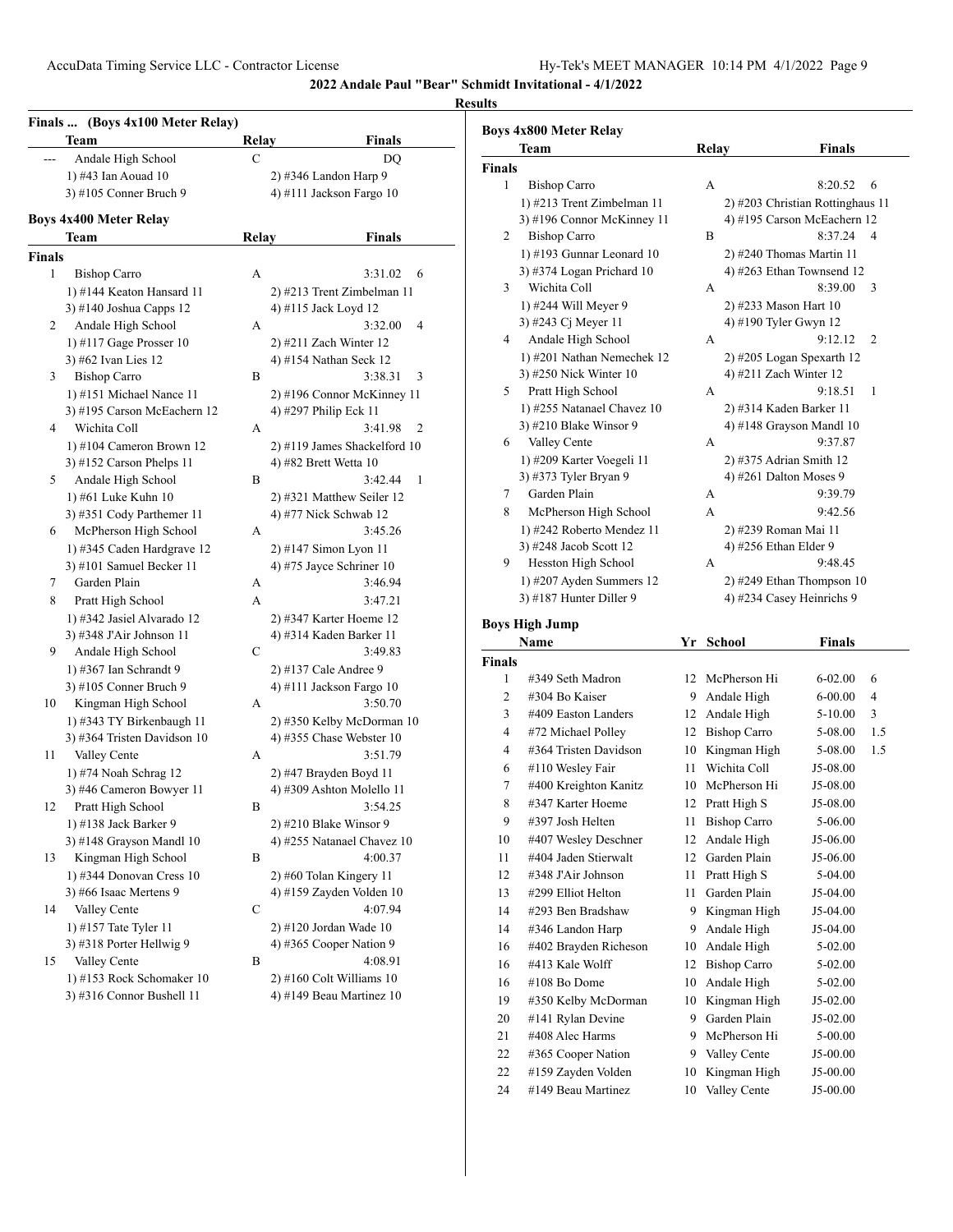#### **Results**

|        | Finals  (Boys 4x100 Meter Relay)<br>Team | Relay | Finals                       |
|--------|------------------------------------------|-------|------------------------------|
| ---    | Andale High School                       | C     | DO                           |
|        | 1) #43 Ian Aouad 10                      |       | 2) #346 Landon Harp 9        |
|        | 3) #105 Conner Bruch 9                   |       | 4) #111 Jackson Fargo 10     |
|        | <b>Boys 4x400 Meter Relay</b>            |       |                              |
|        | Team                                     | Relay | <b>Finals</b>                |
| Finals |                                          |       |                              |
| 1      | <b>Bishop Carro</b>                      | А     | 6<br>3:31.02                 |
|        | 1) #144 Keaton Hansard 11                |       | 2) #213 Trent Zimbelman 11   |
|        | 3) #140 Joshua Capps 12                  |       | 4) #115 Jack Loyd 12         |
| 2      | Andale High School                       | А     | 3:32.00<br>4                 |
|        | 1) #117 Gage Prosser $10$                |       | $2)$ #211 Zach Winter 12     |
|        | 3) #62 Ivan Lies 12                      |       | 4) #154 Nathan Seck 12       |
| 3      | <b>Bishop Carro</b>                      | B     | 3:38.31<br>3                 |
|        | 1) #151 Michael Nance 11                 |       | 2) #196 Connor McKinney 11   |
|        | 3) #195 Carson McEachern 12              |       | 4) #297 Philip Eck 11        |
| 4      | Wichita Coll                             | А     | 3:41.98<br>2                 |
|        | 1) #104 Cameron Brown 12                 |       | 2) #119 James Shackelford 10 |
|        | 3) #152 Carson Phelps $11$               |       | 4) #82 Brett Wetta 10        |
| 5      | Andale High School                       | B     | 3:42.44<br>1                 |
|        | 1) #61 Luke Kuhn 10                      |       | 2) #321 Matthew Seiler 12    |
|        | 3) #351 Cody Parthemer 11                |       | 4) #77 Nick Schwab 12        |
| 6      | McPherson High School                    | А     | 3:45.26                      |
|        | 1) #345 Caden Hardgrave 12               |       | 2) #147 Simon Lyon 11        |
|        | 3) #101 Samuel Becker 11                 |       | 4) #75 Jayce Schriner 10     |
| 7      | Garden Plain                             | А     | 3:46.94                      |
| 8      | Pratt High School                        | A     | 3:47.21                      |
|        | 1) #342 Jasiel Alvarado 12               |       | 2) #347 Karter Hoeme 12      |
|        | 3) #348 J'Air Johnson 11                 |       | 4) #314 Kaden Barker 11      |
| 9      | Andale High School                       | C     | 3:49.83                      |
|        | 1) #367 Ian Schrandt 9                   |       | 2) #137 Cale Andree 9        |
|        | 3) #105 Conner Bruch 9                   |       | 4) #111 Jackson Fargo 10     |
| 10     | Kingman High School                      | А     | 3:50.70                      |
|        | 1) #343 TY Birkenbaugh 11                |       | 2) #350 Kelby McDorman 10    |
|        | 3) #364 Tristen Davidson 10              |       | 4) #355 Chase Webster 10     |
| 11     | Valley Cente                             | А     | 3:51.79                      |
|        | 1) #74 Noah Schrag 12                    |       | 2) #47 Brayden Boyd 11       |
|        | 3) #46 Cameron Bowyer 11                 |       | 4) #309 Ashton Molello 11    |
| 12     | Pratt High School                        | Β     | 3:54.25                      |
|        | 1) #138 Jack Barker 9                    |       | $2)$ #210 Blake Winsor 9     |
|        | 3) #148 Grayson Mandl 10                 |       | 4) #255 Natanael Chavez 10   |
| 13     | Kingman High School                      | B     | 4:00.37                      |
|        | 1) #344 Donovan Cress $10$               |       | $2)$ #60 Tolan Kingery 11    |
|        | 3) #66 Isaac Mertens 9                   |       | 4) #159 Zayden Volden 10     |
| 14     | Valley Cente                             | C     | 4:07.94                      |
|        | 1) #157 Tate Tyler 11                    |       | 2) #120 Jordan Wade 10       |
|        | 3) #318 Porter Hellwig 9                 |       | 4) #365 Cooper Nation 9      |
| 15     | Valley Cente                             | B     | 4:08.91                      |
|        | 1) #153 Rock Schomaker 10                |       | $2)$ #160 Colt Williams 10   |
|        | 3) #316 Connor Bushell 11                |       | 4) #149 Beau Martinez $10$   |

|               | Team                        | Relay | <b>Finals</b>                    |
|---------------|-----------------------------|-------|----------------------------------|
| <b>Finals</b> |                             |       |                                  |
| 1             | <b>Bishop Carro</b>         | A     | 8:20.52<br>6                     |
|               | 1) #213 Trent Zimbelman 11  |       | 2) #203 Christian Rottinghaus 11 |
|               | 3) #196 Connor McKinney 11  |       | 4) #195 Carson McEachern 12      |
| 2             | <b>Bishop Carro</b>         | B     | 8:37.24<br>$\overline{4}$        |
|               | $1)$ #193 Gunnar Leonard 10 |       | 2) #240 Thomas Martin 11         |
|               | 3) #374 Logan Prichard $10$ |       | 4) #263 Ethan Townsend 12        |
| 3             | Wichita Coll                | A     | 8:39.00<br>3                     |
|               | 1) #244 Will Meyer 9        |       | 2) #233 Mason Hart 10            |
|               | 3) #243 Cj Meyer 11         |       | 4) #190 Tyler Gwyn 12            |
| 4             | Andale High School          | A     | 9:12.12<br>$\overline{2}$        |
|               | 1) #201 Nathan Nemechek 12  |       | $2)$ #205 Logan Spexarth 12      |
|               | 3) #250 Nick Winter 10      |       | 4) #211 Zach Winter 12           |
| 5             | Pratt High School           | A     | 9:18.51<br>1                     |
|               | 1) #255 Natanael Chavez 10  |       | 2) #314 Kaden Barker 11          |
|               | 3) #210 Blake Winsor 9      |       | 4) #148 Grayson Mandl $10$       |
| 6             | Valley Cente                | A     | 9:37.87                          |
|               | 1) #209 Karter Voegeli 11   |       | 2) #375 Adrian Smith 12          |
|               | 3) #373 Tyler Bryan 9       |       | 4) #261 Dalton Moses 9           |
| 7             | Garden Plain                | A     | 9:39.79                          |
| 8             | McPherson High School       | A     | 9:42.56                          |
|               | 1) #242 Roberto Mendez 11   |       | 2) #239 Roman Mai 11             |
|               | 3) #248 Jacob Scott 12      |       | 4) #256 Ethan Elder 9            |
| 9             | Hesston High School         | A     | 9:48.45                          |
|               | 1) #207 Ayden Summers 12    |       | $2)$ #249 Ethan Thompson 10      |
|               | 3) #187 Hunter Diller 9     |       | 4) #234 Casey Heinrichs 9        |

# **Boys High Jump**

| Name           |                       | Yr | School              | Finals      |     |
|----------------|-----------------------|----|---------------------|-------------|-----|
| <b>Finals</b>  |                       |    |                     |             |     |
| 1              | #349 Seth Madron      | 12 | McPherson Hi        | $6 - 02.00$ | 6   |
| $\overline{c}$ | #304 Bo Kaiser        | 9  | Andale High         | $6 - 00.00$ | 4   |
| 3              | #409 Easton Landers   | 12 | Andale High         | 5-10.00     | 3   |
| 4              | #72 Michael Polley    | 12 | <b>Bishop Carro</b> | 5-08.00     | 1.5 |
| 4              | #364 Tristen Davidson | 10 | Kingman High        | 5-08.00     | 1.5 |
| 6              | #110 Wesley Fair      | 11 | Wichita Coll        | J5-08.00    |     |
| 7              | #400 Kreighton Kanitz | 10 | McPherson Hi        | J5-08.00    |     |
| 8              | #347 Karter Hoeme     | 12 | Pratt High S        | J5-08.00    |     |
| 9              | #397 Josh Helten      | 11 | <b>Bishop Carro</b> | 5-06.00     |     |
| 10             | #407 Wesley Deschner  | 12 | Andale High         | $J5-06.00$  |     |
| 11             | #404 Jaden Stierwalt  | 12 | Garden Plain        | $J5-06.00$  |     |
| 12             | $\#348$ J'Air Johnson | 11 | Pratt High S        | 5-04.00     |     |
| 13             | #299 Elliot Helton    | 11 | Garden Plain        | J5-04.00    |     |
| 14             | #293 Ben Bradshaw     | 9  | Kingman High        | $J5-04.00$  |     |
| 14             | #346 Landon Harp      | 9  | Andale High         | $J5-04.00$  |     |
| 16             | #402 Brayden Richeson | 10 | Andale High         | 5-02.00     |     |
| 16             | #413 Kale Wolff       | 12 | <b>Bishop Carro</b> | 5-02.00     |     |
| 16             | #108 Bo Dome          | 10 | Andale High         | 5-02.00     |     |
| 19             | #350 Kelby McDorman   | 10 | Kingman High        | $J5-02.00$  |     |
| 20             | #141 Rylan Devine     | 9  | Garden Plain        | J5-02.00    |     |
| 21             | #408 Alec Harms       | 9  | McPherson Hi        | 5-00.00     |     |
| 22             | #365 Cooper Nation    | 9  | Valley Cente        | J5-00.00    |     |
| 22             | #159 Zayden Volden    | 10 | Kingman High        | $J5-00.00$  |     |
| 24             | #149 Beau Martinez    | 10 | Valley Cente        | J5-00.00    |     |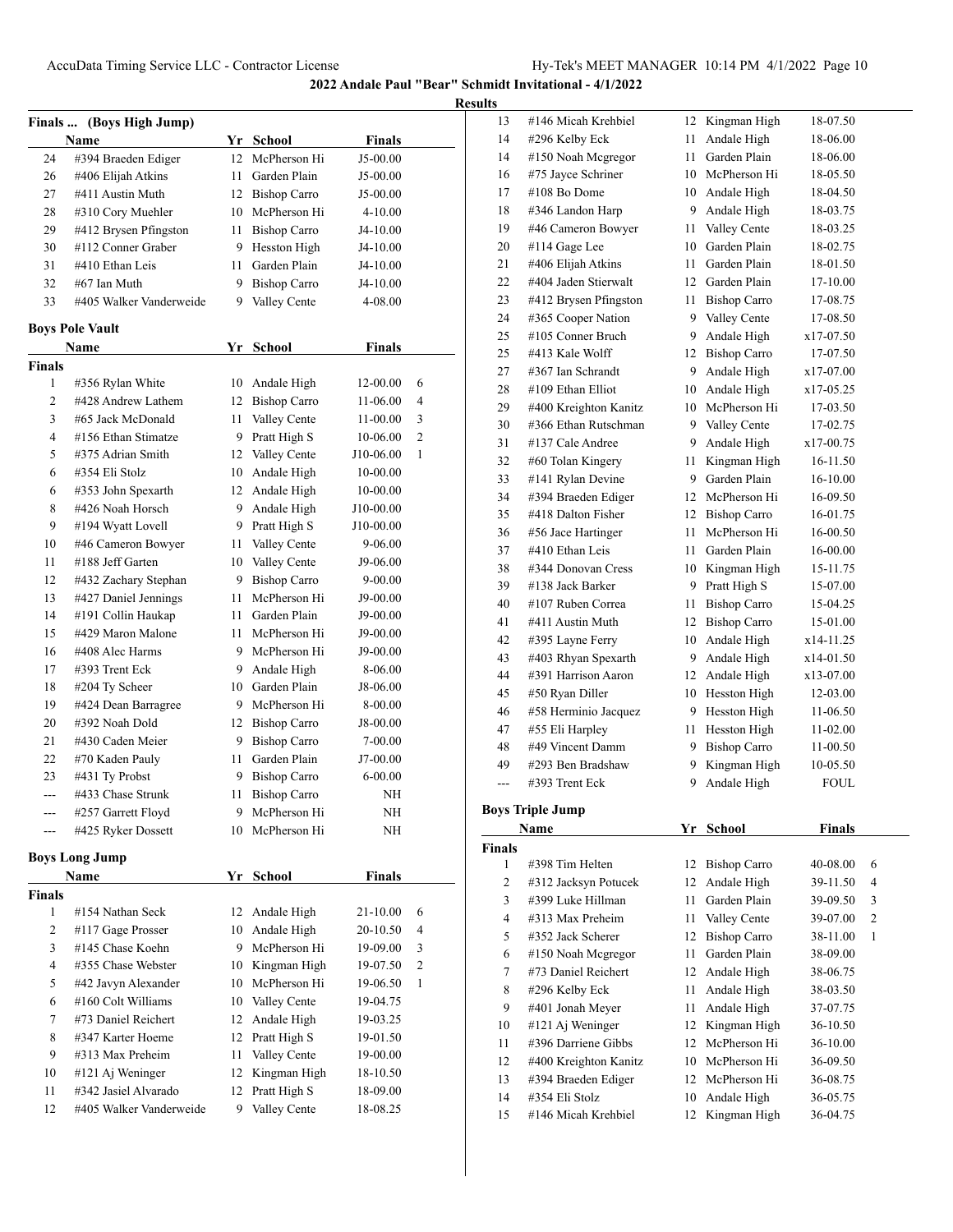|  | кесштс |
|--|--------|
|  |        |

| (Boys High Jump)<br><b>Finals</b> |                                          |         |                                   |                     |   |
|-----------------------------------|------------------------------------------|---------|-----------------------------------|---------------------|---|
|                                   | Name                                     |         | Yr School                         | <b>Finals</b>       |   |
| 24                                | #394 Braeden Ediger                      | $12-12$ | McPherson Hi                      | J5-00.00            |   |
| 26                                | #406 Elijah Atkins                       | 11 -    | Garden Plain                      | J5-00.00            |   |
| 27                                | #411 Austin Muth                         |         | 12 Bishop Carro                   | J5-00.00            |   |
| 28                                | #310 Cory Muehler                        |         | 10 McPherson Hi                   | 4-10.00             |   |
| 29                                | #412 Brysen Pfingston                    |         | 11 Bishop Carro                   | J4-10.00            |   |
| 30                                | #112 Conner Graber                       |         | 9 Hesston High                    | J4-10.00            |   |
| 31                                | #410 Ethan Leis                          | 11 -    | Garden Plain                      | J4-10.00            |   |
| 32                                | #67 Ian Muth                             |         | 9 Bishop Carro                    | J4-10.00            |   |
| 33                                | #405 Walker Vanderweide                  | 9.      | Valley Cente                      | 4-08.00             |   |
|                                   |                                          |         |                                   |                     |   |
|                                   | <b>Boys Pole Vault</b>                   |         |                                   |                     |   |
|                                   | Name                                     |         | Yr School                         | Finals              |   |
| <b>Finals</b>                     |                                          |         |                                   |                     |   |
| 1                                 | #356 Rylan White                         | 10      | Andale High                       | 12-00.00            | 6 |
| $\overline{2}$                    | #428 Andrew Lathem                       | 12      | <b>Bishop Carro</b>               | 11-06.00            | 4 |
| 3                                 | #65 Jack McDonald                        | 11      | Valley Cente                      | 11-00.00            | 3 |
| $\overline{4}$                    | #156 Ethan Stimatze<br>#375 Adrian Smith |         | 9 Pratt High S                    | 10-06.00            | 2 |
| 5                                 |                                          |         | 12 Valley Cente                   | J10-06.00           | 1 |
| 6                                 | #354 Eli Stolz                           |         | 10 Andale High                    | 10-00.00            |   |
| 6                                 | #353 John Spexarth                       |         | 12 Andale High                    | 10-00.00            |   |
| 8                                 | #426 Noah Horsch                         |         | 9 Andale High                     | J10-00.00           |   |
| 9                                 | #194 Wyatt Lovell                        |         | 9 Pratt High S                    | J10-00.00           |   |
| 10                                | #46 Cameron Bowyer                       | 11 -    | Valley Cente                      | 9-06.00             |   |
| 11                                | #188 Jeff Garten                         |         | 10 Valley Cente                   | J9-06.00            |   |
| 12                                | #432 Zachary Stephan                     |         | 9 Bishop Carro<br>McPherson Hi    | 9-00.00             |   |
| 13                                | #427 Daniel Jennings                     | 11 -    | Garden Plain                      | J9-00.00            |   |
| 14                                | #191 Collin Haukap<br>#429 Maron Malone  | 11.     | McPherson Hi                      | J9-00.00            |   |
| 15                                |                                          | 11 -    |                                   | J9-00.00            |   |
| 16                                | #408 Alec Harms                          | 9       | McPherson Hi                      | J9-00.00            |   |
| 17                                | #393 Trent Eck                           | 9.      | Andale High<br>10 Garden Plain    | 8-06.00<br>J8-06.00 |   |
| 18                                | #204 Ty Scheer                           |         | 9 McPherson Hi                    |                     |   |
| 19<br>20                          | #424 Dean Barragree<br>#392 Noah Dold    |         |                                   | 8-00.00             |   |
| 21                                | #430 Caden Meier                         |         | 12 Bishop Carro<br>9 Bishop Carro | J8-00.00<br>7-00.00 |   |
| 22                                |                                          | 11 -    | Garden Plain                      | J7-00.00            |   |
| 23                                | #70 Kaden Pauly<br>#431 Ty Probst        | 9.      | <b>Bishop Carro</b>               | 6-00.00             |   |
| ---                               | #433 Chase Strunk                        | 11      | <b>Bishop Carro</b>               | NH                  |   |
|                                   | #257 Garrett Floyd                       | 9       | McPherson Hi                      | NH                  |   |
|                                   | #425 Ryker Dossett                       | 10      | McPherson Hi                      | NΗ                  |   |
|                                   |                                          |         |                                   |                     |   |
|                                   | <b>Boys Long Jump</b>                    |         |                                   |                     |   |
|                                   | <b>Name</b>                              |         | Yr School                         | <b>Finals</b>       |   |
| <b>Finals</b>                     |                                          |         |                                   |                     |   |
| 1                                 | #154 Nathan Seck                         | 12      | Andale High                       | 21-10.00            | 6 |
| 2                                 | #117 Gage Prosser                        | 10      | Andale High                       | 20-10.50            | 4 |
| 3                                 | #145 Chase Koehn                         |         | 9 McPherson Hi                    | 19-09.00            | 3 |
| $\overline{4}$                    | #355 Chase Webster                       |         | 10 Kingman High                   | 19-07.50            | 2 |
| 5                                 | #42 Javyn Alexander                      | 10      | McPherson Hi                      | 19-06.50            | 1 |
| 6                                 | #160 Colt Williams                       |         | 10 Valley Cente                   | 19-04.75            |   |
| 7                                 | #73 Daniel Reichert                      | 12      | Andale High                       | 19-03.25            |   |
| 8                                 | #347 Karter Hoeme                        | 12      | Pratt High S                      | 19-01.50            |   |
| 9                                 | #313 Max Preheim                         | 11      | Valley Cente                      | 19-00.00            |   |

 #121 Aj Weninger 12 Kingman High 18-10.50 #342 Jasiel Alvarado 12 Pratt High S 18-09.00 #405 Walker Vanderweide 9 Valley Cente 18-08.25

| 13     | #146 Micah Krehbiel     | 12   | Kingman High        | 18-07.50      |                |
|--------|-------------------------|------|---------------------|---------------|----------------|
| 14     | #296 Kelby Eck          | 11   | Andale High         | 18-06.00      |                |
| 14     | #150 Noah Mcgregor      | 11 - | Garden Plain        | 18-06.00      |                |
| 16     | #75 Jayce Schriner      |      | 10 McPherson Hi     | 18-05.50      |                |
| 17     | #108 Bo Dome            |      | 10 Andale High      | 18-04.50      |                |
| 18     | #346 Landon Harp        |      | 9 Andale High       | 18-03.75      |                |
| 19     | #46 Cameron Bowyer      | 11   | Valley Cente        | 18-03.25      |                |
| 20     | #114 Gage Lee           |      | 10 Garden Plain     | 18-02.75      |                |
| 21     | #406 Elijah Atkins      | 11 - | Garden Plain        | 18-01.50      |                |
| 22     | #404 Jaden Stierwalt    |      | 12 Garden Plain     | 17-10.00      |                |
| 23     | #412 Brysen Pfingston   |      | 11 Bishop Carro     | 17-08.75      |                |
| 24     | #365 Cooper Nation      |      | 9 Valley Cente      | 17-08.50      |                |
| 25     | #105 Conner Bruch       |      | Andale High         | x17-07.50     |                |
|        |                         | 9.   |                     |               |                |
| 25     | #413 Kale Wolff         |      | 12 Bishop Carro     | 17-07.50      |                |
| 27     | #367 Ian Schrandt       |      | 9 Andale High       | x17-07.00     |                |
| 28     | #109 Ethan Elliot       |      | 10 Andale High      | x17-05.25     |                |
| 29     | #400 Kreighton Kanitz   |      | 10 McPherson Hi     | 17-03.50      |                |
| 30     | #366 Ethan Rutschman    |      | 9 Valley Cente      | 17-02.75      |                |
| 31     | #137 Cale Andree        | 9.   | Andale High         | x17-00.75     |                |
| 32     | #60 Tolan Kingery       | 11   | Kingman High        | 16-11.50      |                |
| 33     | #141 Rylan Devine       | 9    | Garden Plain        | 16-10.00      |                |
| 34     | #394 Braeden Ediger     |      | 12 McPherson Hi     | 16-09.50      |                |
| 35     | #418 Dalton Fisher      |      | 12 Bishop Carro     | 16-01.75      |                |
| 36     | #56 Jace Hartinger      | 11.  | McPherson Hi        | 16-00.50      |                |
| 37     | #410 Ethan Leis         | 11   | Garden Plain        | 16-00.00      |                |
| 38     | #344 Donovan Cress      |      | 10 Kingman High     | 15-11.75      |                |
| 39     | #138 Jack Barker        | 9    | Pratt High S        | 15-07.00      |                |
| 40     | #107 Ruben Correa       | 11 - | <b>Bishop Carro</b> | 15-04.25      |                |
| 41     | #411 Austin Muth        |      | 12 Bishop Carro     | 15-01.00      |                |
| 42     | #395 Layne Ferry        |      | 10 Andale High      | x14-11.25     |                |
| 43     | #403 Rhyan Spexarth     |      | 9 Andale High       | x14-01.50     |                |
| 44     | #391 Harrison Aaron     |      | 12 Andale High      | x13-07.00     |                |
| 45     | #50 Ryan Diller         |      | 10 Hesston High     | 12-03.00      |                |
| 46     | #58 Herminio Jacquez    |      | 9 Hesston High      | 11-06.50      |                |
| 47     | #55 Eli Harpley         | 11.  | Hesston High        | 11-02.00      |                |
| 48     | #49 Vincent Damm        | 9    | <b>Bishop Carro</b> | 11-00.50      |                |
| 49     | #293 Ben Bradshaw       | 9    | Kingman High        | 10-05.50      |                |
| $---$  | #393 Trent Eck          | 9    | Andale High         | FOUL          |                |
|        |                         |      |                     |               |                |
|        | <b>Boys Triple Jump</b> |      |                     |               |                |
|        | Name                    | Yr   | <b>School</b>       | <b>Finals</b> |                |
| Finals |                         |      |                     |               |                |
| 1      | #398 Tim Helten         | 12   | <b>Bishop Carro</b> | 40-08.00      | 6              |
| 2      | #312 Jacksyn Potucek    | 12   | Andale High         | 39-11.50      | 4              |
| 3      | #399 Luke Hillman       | 11   | Garden Plain        | 39-09.50      | 3              |
| 4      | #313 Max Preheim        | 11   | Valley Cente        | 39-07.00      | $\overline{2}$ |
| 5      | #352 Jack Scherer       | 12   | <b>Bishop Carro</b> | 38-11.00      | 1              |
| 6      | #150 Noah Megregor      | 11   | Garden Plain        | 38-09.00      |                |
| 7      | #73 Daniel Reichert     | 12   | Andale High         | 38-06.75      |                |
| 8      | #296 Kelby Eck          | 11   | Andale High         | 38-03.50      |                |
| 9      | #401 Jonah Meyer        | 11   | Andale High         | 37-07.75      |                |
| 10     | #121 Aj Weninger        | 12   | Kingman High        | 36-10.50      |                |
| 11     | #396 Darriene Gibbs     | 12   | McPherson Hi        | 36-10.00      |                |
| 12     | #400 Kreighton Kanitz   | 10   | McPherson Hi        | 36-09.50      |                |
| 13     | #394 Braeden Ediger     | 12   | McPherson Hi        | 36-08.75      |                |
| 14     | #354 Eli Stolz          | 10   | Andale High         | 36-05.75      |                |
| 15     | #146 Micah Krehbiel     | 12   | Kingman High        | 36-04.75      |                |
|        |                         |      |                     |               |                |
|        |                         |      |                     |               |                |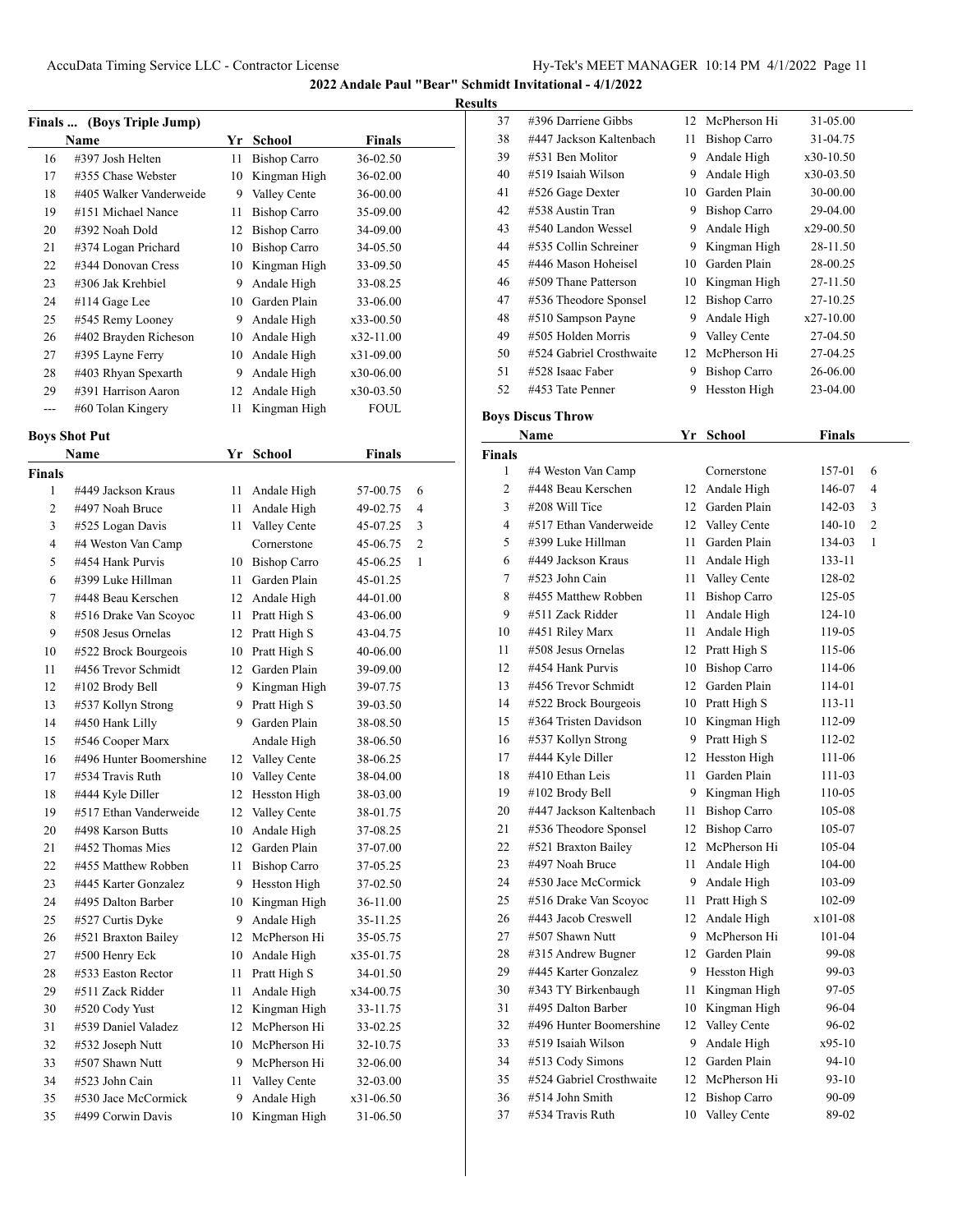**2022 Andale Paul "Bear" Schmidt Invitational - 4/1/2022**

**Results**

| Finals  (Boys Triple Jump)                   |                         |    |                     |             |  |
|----------------------------------------------|-------------------------|----|---------------------|-------------|--|
| <b>Finals</b><br><b>Name</b><br>Yr<br>School |                         |    |                     |             |  |
| 16                                           | #397 Josh Helten        | 11 | <b>Bishop Carro</b> | 36-02.50    |  |
| 17                                           | #355 Chase Webster      | 10 | Kingman High        | 36-02.00    |  |
| 18                                           | #405 Walker Vanderweide | 9  | Valley Cente        | 36-00.00    |  |
| 19                                           | #151 Michael Nance      | 11 | <b>Bishop Carro</b> | 35-09.00    |  |
| 20                                           | #392 Noah Dold          | 12 | Bishop Carro        | 34-09.00    |  |
| 21                                           | #374 Logan Prichard     | 10 | <b>Bishop Carro</b> | 34-05.50    |  |
| 22                                           | #344 Donovan Cress      | 10 | Kingman High        | 33-09.50    |  |
| 23                                           | #306 Jak Krehbiel       | 9  | Andale High         | 33-08.25    |  |
| 24                                           | #114 Gage Lee           | 10 | Garden Plain        | 33-06.00    |  |
| 25                                           | #545 Remy Looney        | 9  | Andale High         | x33-00.50   |  |
| 26                                           | #402 Brayden Richeson   | 10 | Andale High         | x32-11.00   |  |
| 27                                           | #395 Layne Ferry        | 10 | Andale High         | x31-09.00   |  |
| 28                                           | #403 Rhyan Spexarth     | 9  | Andale High         | x30-06.00   |  |
| 29                                           | #391 Harrison Aaron     | 12 | Andale High         | x30-03.50   |  |
| ---                                          | #60 Tolan Kingery       | 11 | Kingman High        | <b>FOUL</b> |  |

## **Boys Shot Put**

| Name          |                         | Yr | <b>School</b>       | <b>Finals</b> |                |  |  |
|---------------|-------------------------|----|---------------------|---------------|----------------|--|--|
| <b>Finals</b> |                         |    |                     |               |                |  |  |
| 1             | #449 Jackson Kraus      | 11 | Andale High         | 57-00.75      | 6              |  |  |
| 2             | #497 Noah Bruce         | 11 | Andale High         | 49-02.75      | 4              |  |  |
| 3             | #525 Logan Davis        | 11 | Valley Cente        | 45-07.25      | 3              |  |  |
| 4             | #4 Weston Van Camp      |    | Cornerstone         | 45-06.75      | $\overline{c}$ |  |  |
| 5             | #454 Hank Purvis        | 10 | <b>Bishop Carro</b> | 45-06.25      | 1              |  |  |
| 6             | #399 Luke Hillman       | 11 | Garden Plain        | 45-01.25      |                |  |  |
| 7             | #448 Beau Kerschen      | 12 | Andale High         | 44-01.00      |                |  |  |
| 8             | #516 Drake Van Scoyoc   | 11 | Pratt High S        | 43-06.00      |                |  |  |
| 9             | #508 Jesus Ornelas      | 12 | Pratt High S        | 43-04.75      |                |  |  |
| 10            | #522 Brock Bourgeois    | 10 | Pratt High S        | 40-06.00      |                |  |  |
| 11            | #456 Trevor Schmidt     | 12 | Garden Plain        | 39-09.00      |                |  |  |
| 12            | #102 Brody Bell         | 9  | Kingman High        | 39-07.75      |                |  |  |
| 13            | #537 Kollyn Strong      | 9  | Pratt High S        | 39-03.50      |                |  |  |
| 14            | #450 Hank Lilly         | 9  | Garden Plain        | 38-08.50      |                |  |  |
| 15            | #546 Cooper Marx        |    | Andale High         | 38-06.50      |                |  |  |
| 16            | #496 Hunter Boomershine | 12 | Valley Cente        | 38-06.25      |                |  |  |
| 17            | #534 Travis Ruth        | 10 | Valley Cente        | 38-04.00      |                |  |  |
| 18            | #444 Kyle Diller        | 12 | Hesston High        | 38-03.00      |                |  |  |
| 19            | #517 Ethan Vanderweide  | 12 | Valley Cente        | 38-01.75      |                |  |  |
| 20            | #498 Karson Butts       | 10 | Andale High         | 37-08.25      |                |  |  |
| 21            | #452 Thomas Mies        | 12 | Garden Plain        | 37-07.00      |                |  |  |
| 22            | #455 Matthew Robben     | 11 | <b>Bishop Carro</b> | 37-05.25      |                |  |  |
| 23            | #445 Karter Gonzalez    | 9  | Hesston High        | 37-02.50      |                |  |  |
| 24            | #495 Dalton Barber      | 10 | Kingman High        | 36-11.00      |                |  |  |
| 25            | #527 Curtis Dyke        | 9  | Andale High         | 35-11.25      |                |  |  |
| 26            | #521 Braxton Bailey     | 12 | McPherson Hi        | 35-05.75      |                |  |  |
| 27            | #500 Henry Eck          | 10 | Andale High         | x35-01.75     |                |  |  |
| 28            | #533 Easton Rector      | 11 | Pratt High S        | 34-01.50      |                |  |  |
| 29            | #511 Zack Ridder        | 11 | Andale High         | x34-00.75     |                |  |  |
| 30            | #520 Cody Yust          | 12 | Kingman High        | 33-11.75      |                |  |  |
| 31            | #539 Daniel Valadez     | 12 | McPherson Hi        | 33-02.25      |                |  |  |
| 32            | #532 Joseph Nutt        | 10 | McPherson Hi        | 32-10.75      |                |  |  |
| 33            | #507 Shawn Nutt         | 9  | McPherson Hi        | 32-06.00      |                |  |  |
| 34            | #523 John Cain          | 11 | Valley Cente        | 32-03.00      |                |  |  |
| 35            | #530 Jace McCormick     | 9  | Andale High         | x31-06.50     |                |  |  |
| 35            | #499 Corwin Davis       | 10 | Kingman High        | 31-06.50      |                |  |  |

| 37 | #396 Darriene Gibbs      |    | 12 McPherson Hi     | 31-05.00  |  |
|----|--------------------------|----|---------------------|-----------|--|
| 38 | #447 Jackson Kaltenbach  | 11 | <b>Bishop Carro</b> | 31-04.75  |  |
| 39 | #531 Ben Molitor         | 9  | Andale High         | x30-10.50 |  |
| 40 | #519 Isaiah Wilson       | 9  | Andale High         | x30-03.50 |  |
| 41 | #526 Gage Dexter         | 10 | Garden Plain        | 30-00.00  |  |
| 42 | #538 Austin Tran         | 9  | <b>Bishop Carro</b> | 29-04.00  |  |
| 43 | #540 Landon Wessel       | 9. | Andale High         | x29-00.50 |  |
| 44 | #535 Collin Schreiner    | 9  | Kingman High        | 28-11.50  |  |
| 45 | #446 Mason Hoheisel      | 10 | Garden Plain        | 28-00.25  |  |
| 46 | #509 Thane Patterson     | 10 | Kingman High        | 27-11.50  |  |
| 47 | #536 Theodore Sponsel    |    | 12 Bishop Carro     | 27-10.25  |  |
| 48 | #510 Sampson Payne       | 9. | Andale High         | x27-10.00 |  |
| 49 | #505 Holden Morris       | 9. | Valley Cente        | 27-04.50  |  |
| 50 | #524 Gabriel Crosthwaite |    | 12 McPherson Hi     | 27-04.25  |  |
| 51 | #528 Isaac Faber         | 9  | <b>Bishop Carro</b> | 26-06.00  |  |
| 52 | #453 Tate Penner         | 9  | Hesston High        | 23-04.00  |  |

## **Boys Discus Throw**

l,

|                | Name                     |    | Yr School           | <b>Finals</b> |                |
|----------------|--------------------------|----|---------------------|---------------|----------------|
| Finals         |                          |    |                     |               |                |
| 1              | #4 Weston Van Camp       |    | Cornerstone         | 157-01        | 6              |
| $\overline{c}$ | #448 Beau Kerschen       |    | 12 Andale High      | 146-07        | $\overline{4}$ |
| 3              | #208 Will Tice           |    | 12 Garden Plain     | 142-03        | 3              |
| $\overline{4}$ | #517 Ethan Vanderweide   |    | 12 Valley Cente     | 140-10        | 2              |
| 5              | #399 Luke Hillman        | 11 | Garden Plain        | 134-03        | 1              |
| 6              | #449 Jackson Kraus       | 11 | Andale High         | 133-11        |                |
| 7              | #523 John Cain           | 11 | Valley Cente        | 128-02        |                |
| 8              | #455 Matthew Robben      | 11 | <b>Bishop Carro</b> | 125-05        |                |
| 9              | #511 Zack Ridder         | 11 | Andale High         | 124-10        |                |
| 10             | #451 Riley Marx          | 11 | Andale High         | 119-05        |                |
| 11             | #508 Jesus Ornelas       | 12 | Pratt High S        | 115-06        |                |
| 12             | #454 Hank Purvis         | 10 | <b>Bishop Carro</b> | 114-06        |                |
| 13             | #456 Trevor Schmidt      |    | 12 Garden Plain     | 114-01        |                |
| 14             | #522 Brock Bourgeois     |    | 10 Pratt High S     | 113-11        |                |
| 15             | #364 Tristen Davidson    | 10 | Kingman High        | 112-09        |                |
| 16             | #537 Kollyn Strong       | 9. | Pratt High S        | 112-02        |                |
| 17             | #444 Kyle Diller         | 12 | Hesston High        | 111-06        |                |
| 18             | #410 Ethan Leis          | 11 | Garden Plain        | 111-03        |                |
| 19             | #102 Brody Bell          | 9  | Kingman High        | 110-05        |                |
| 20             | #447 Jackson Kaltenbach  | 11 | <b>Bishop Carro</b> | 105-08        |                |
| 21             | #536 Theodore Sponsel    | 12 | <b>Bishop Carro</b> | 105-07        |                |
| 22             | #521 Braxton Bailey      | 12 | McPherson Hi        | 105-04        |                |
| 23             | #497 Noah Bruce          | 11 | Andale High         | 104-00        |                |
| 24             | #530 Jace McCormick      | 9  | Andale High         | 103-09        |                |
| 25             | #516 Drake Van Scoyoc    | 11 | Pratt High S        | 102-09        |                |
| 26             | #443 Jacob Creswell      | 12 | Andale High         | x101-08       |                |
| 27             | #507 Shawn Nutt          | 9  | McPherson Hi        | 101-04        |                |
| 28             | #315 Andrew Bugner       |    | 12 Garden Plain     | 99-08         |                |
| 29             | #445 Karter Gonzalez     |    | 9 Hesston High      | 99-03         |                |
| 30             | #343 TY Birkenbaugh      | 11 | Kingman High        | 97-05         |                |
| 31             | #495 Dalton Barber       | 10 | Kingman High        | 96-04         |                |
| 32             | #496 Hunter Boomershine  | 12 | Valley Cente        | 96-02         |                |
| 33             | #519 Isaiah Wilson       | 9  | Andale High         | x95-10        |                |
| 34             | #513 Cody Simons         | 12 | Garden Plain        | 94-10         |                |
| 35             | #524 Gabriel Crosthwaite | 12 | McPherson Hi        | 93-10         |                |
| 36             | #514 John Smith          | 12 | <b>Bishop Carro</b> | 90-09         |                |
| 37             | #534 Travis Ruth         | 10 | Valley Cente        | 89-02         |                |